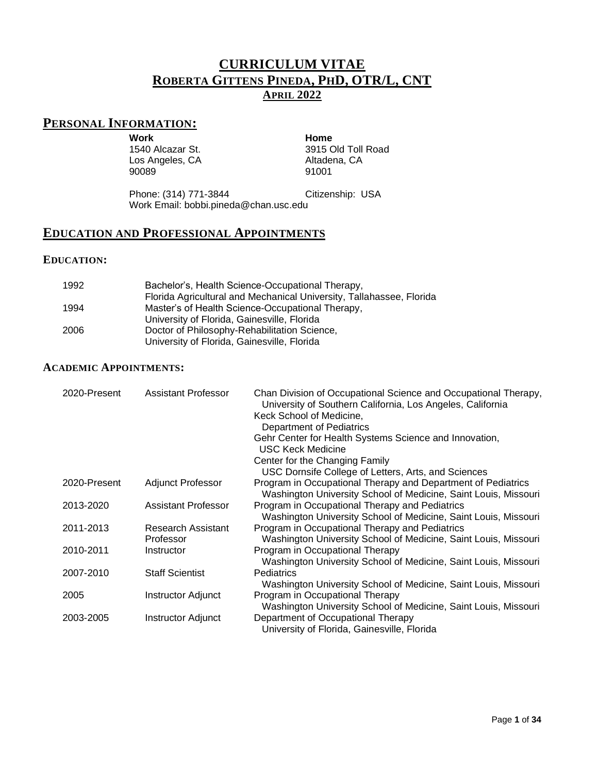# **CURRICULUM VITAE ROBERTA GITTENS PINEDA, PHD, OTR/L, CNT APRIL 2022**

# **PERSONAL INFORMATION:**

**Work Home**

1540 Alcazar St. Los Angeles, CA 90089

3915 Old Toll Road Altadena, CA 91001

Phone: (314) 771-3844 Citizenship: USA Work Email: bobbi.pineda@chan.usc.edu

# **EDUCATION AND PROFESSIONAL APPOINTMENTS**

## **EDUCATION:**

| 1992 | Bachelor's, Health Science-Occupational Therapy,                     |
|------|----------------------------------------------------------------------|
|      | Florida Agricultural and Mechanical University, Tallahassee, Florida |
| 1994 | Master's of Health Science-Occupational Therapy,                     |
|      | University of Florida, Gainesville, Florida                          |
| 2006 | Doctor of Philosophy-Rehabilitation Science,                         |
|      | University of Florida, Gainesville, Florida                          |

## **ACADEMIC APPOINTMENTS:**

| 2020-Present | <b>Assistant Professor</b>      | Chan Division of Occupational Science and Occupational Therapy,<br>University of Southern California, Los Angeles, California<br>Keck School of Medicine,<br><b>Department of Pediatrics</b><br>Gehr Center for Health Systems Science and Innovation,<br><b>USC Keck Medicine</b><br>Center for the Changing Family<br>USC Dornsife College of Letters, Arts, and Sciences |
|--------------|---------------------------------|-----------------------------------------------------------------------------------------------------------------------------------------------------------------------------------------------------------------------------------------------------------------------------------------------------------------------------------------------------------------------------|
| 2020-Present | <b>Adjunct Professor</b>        | Program in Occupational Therapy and Department of Pediatrics<br>Washington University School of Medicine, Saint Louis, Missouri                                                                                                                                                                                                                                             |
| 2013-2020    | Assistant Professor             | Program in Occupational Therapy and Pediatrics<br>Washington University School of Medicine, Saint Louis, Missouri                                                                                                                                                                                                                                                           |
| 2011-2013    | Research Assistant<br>Professor | Program in Occupational Therapy and Pediatrics<br>Washington University School of Medicine, Saint Louis, Missouri                                                                                                                                                                                                                                                           |
| 2010-2011    | Instructor                      | Program in Occupational Therapy<br>Washington University School of Medicine, Saint Louis, Missouri                                                                                                                                                                                                                                                                          |
| 2007-2010    | <b>Staff Scientist</b>          | Pediatrics<br>Washington University School of Medicine, Saint Louis, Missouri                                                                                                                                                                                                                                                                                               |
| 2005         | Instructor Adjunct              | Program in Occupational Therapy<br>Washington University School of Medicine, Saint Louis, Missouri                                                                                                                                                                                                                                                                          |
| 2003-2005    | Instructor Adjunct              | Department of Occupational Therapy<br>University of Florida, Gainesville, Florida                                                                                                                                                                                                                                                                                           |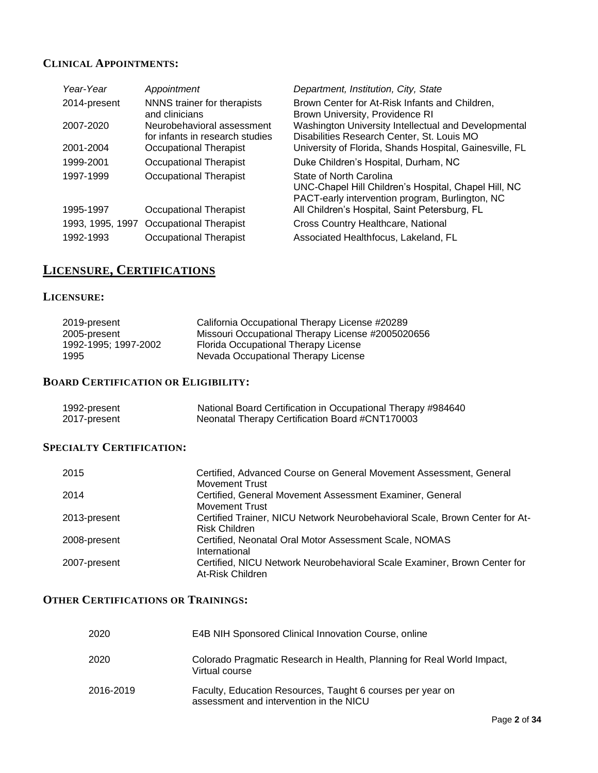## **CLINICAL APPOINTMENTS:**

| Year-Year        | Appointment                                                   | Department, Institution, City, State                                                                                               |
|------------------|---------------------------------------------------------------|------------------------------------------------------------------------------------------------------------------------------------|
| 2014-present     | NNNS trainer for therapists<br>and clinicians                 | Brown Center for At-Risk Infants and Children,<br>Brown University, Providence RI                                                  |
| 2007-2020        | Neurobehavioral assessment<br>for infants in research studies | Washington University Intellectual and Developmental<br>Disabilities Research Center, St. Louis MO                                 |
| 2001-2004        | Occupational Therapist                                        | University of Florida, Shands Hospital, Gainesville, FL                                                                            |
| 1999-2001        | Occupational Therapist                                        | Duke Children's Hospital, Durham, NC                                                                                               |
| 1997-1999        | <b>Occupational Therapist</b>                                 | State of North Carolina<br>UNC-Chapel Hill Children's Hospital, Chapel Hill, NC<br>PACT-early intervention program, Burlington, NC |
| 1995-1997        | Occupational Therapist                                        | All Children's Hospital, Saint Petersburg, FL                                                                                      |
| 1993, 1995, 1997 | Occupational Therapist                                        | Cross Country Healthcare, National                                                                                                 |
| 1992-1993        | Occupational Therapist                                        | Associated Healthfocus, Lakeland, FL                                                                                               |

# **LICENSURE, CERTIFICATIONS**

## **LICENSURE:**

| 2019-present         | California Occupational Therapy License #20289    |
|----------------------|---------------------------------------------------|
| 2005-present         | Missouri Occupational Therapy License #2005020656 |
| 1992-1995; 1997-2002 | Florida Occupational Therapy License              |
| 1995                 | Nevada Occupational Therapy License               |

## **BOARD CERTIFICATION OR ELIGIBILITY:**

| 1992-present | National Board Certification in Occupational Therapy #984640 |
|--------------|--------------------------------------------------------------|
| 2017-present | Neonatal Therapy Certification Board #CNT170003              |

## **SPECIALTY CERTIFICATION:**

| 2015         | Certified, Advanced Course on General Movement Assessment, General          |
|--------------|-----------------------------------------------------------------------------|
|              | <b>Movement Trust</b>                                                       |
| 2014         | Certified, General Movement Assessment Examiner, General                    |
|              | <b>Movement Trust</b>                                                       |
| 2013-present | Certified Trainer, NICU Network Neurobehavioral Scale, Brown Center for At- |
|              | Risk Children                                                               |
| 2008-present | Certified, Neonatal Oral Motor Assessment Scale, NOMAS                      |
|              | International                                                               |
| 2007-present | Certified, NICU Network Neurobehavioral Scale Examiner, Brown Center for    |
|              | At-Risk Children                                                            |
|              |                                                                             |

## **OTHER CERTIFICATIONS OR TRAININGS:**

| 2020      | E4B NIH Sponsored Clinical Innovation Course, online                                                  |
|-----------|-------------------------------------------------------------------------------------------------------|
| 2020      | Colorado Pragmatic Research in Health, Planning for Real World Impact,<br>Virtual course              |
| 2016-2019 | Faculty, Education Resources, Taught 6 courses per year on<br>assessment and intervention in the NICU |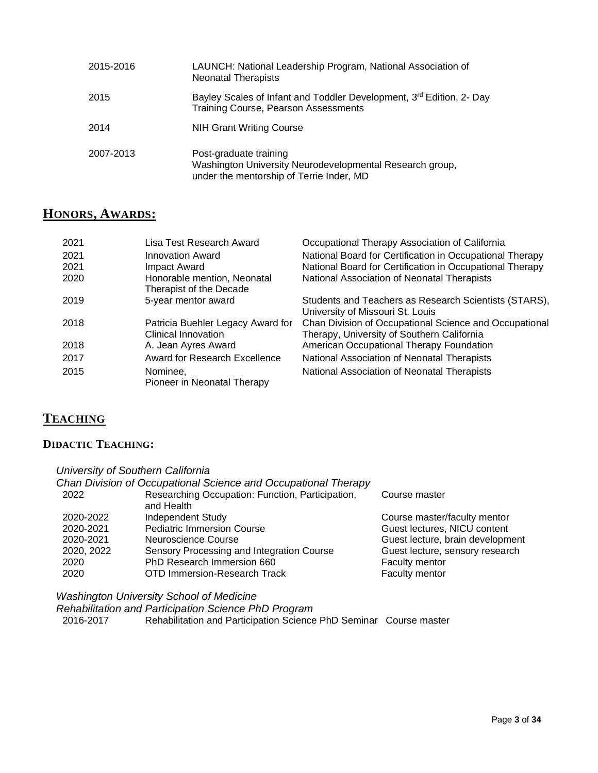| 2015-2016 | LAUNCH: National Leadership Program, National Association of<br><b>Neonatal Therapists</b>                                      |
|-----------|---------------------------------------------------------------------------------------------------------------------------------|
| 2015      | Bayley Scales of Infant and Toddler Development, 3 <sup>rd</sup> Edition, 2- Day<br><b>Training Course, Pearson Assessments</b> |
| 2014      | <b>NIH Grant Writing Course</b>                                                                                                 |
| 2007-2013 | Post-graduate training<br>Washington University Neurodevelopmental Research group,<br>under the mentorship of Terrie Inder, MD  |

# **HONORS, AWARDS:**

| 2021 | Lisa Test Research Award                                 | Occupational Therapy Association of California                                                       |
|------|----------------------------------------------------------|------------------------------------------------------------------------------------------------------|
| 2021 | Innovation Award                                         | National Board for Certification in Occupational Therapy                                             |
| 2021 | Impact Award                                             | National Board for Certification in Occupational Therapy                                             |
| 2020 | Honorable mention, Neonatal<br>Therapist of the Decade   | National Association of Neonatal Therapists                                                          |
| 2019 | 5-year mentor award                                      | Students and Teachers as Research Scientists (STARS),<br>University of Missouri St. Louis            |
| 2018 | Patricia Buehler Legacy Award for<br>Clinical Innovation | Chan Division of Occupational Science and Occupational<br>Therapy, University of Southern California |
| 2018 | A. Jean Ayres Award                                      | American Occupational Therapy Foundation                                                             |
| 2017 | Award for Research Excellence                            | National Association of Neonatal Therapists                                                          |
| 2015 | Nominee,<br>Pioneer in Neonatal Therapy                  | National Association of Neonatal Therapists                                                          |

# **TEACHING**

## **DIDACTIC TEACHING:**

| University of Southern California |                                                                |                                  |
|-----------------------------------|----------------------------------------------------------------|----------------------------------|
|                                   | Chan Division of Occupational Science and Occupational Therapy |                                  |
| 2022                              | Researching Occupation: Function, Participation,<br>and Health | Course master                    |
| 2020-2022                         | <b>Independent Study</b>                                       | Course master/faculty mentor     |
| 2020-2021                         | <b>Pediatric Immersion Course</b>                              | Guest lectures, NICU content     |
| 2020-2021                         | Neuroscience Course                                            | Guest lecture, brain development |
| 2020, 2022                        | Sensory Processing and Integration Course                      | Guest lecture, sensory research  |
| 2020                              | PhD Research Immersion 660                                     | Faculty mentor                   |
| 2020                              | <b>OTD Immersion-Research Track</b>                            | Faculty mentor                   |

*Washington University School of Medicine*

*Rehabilitation and Participation Science PhD Program* 2016-2017 Rehabilitation and Participation Science PhD Seminar Course master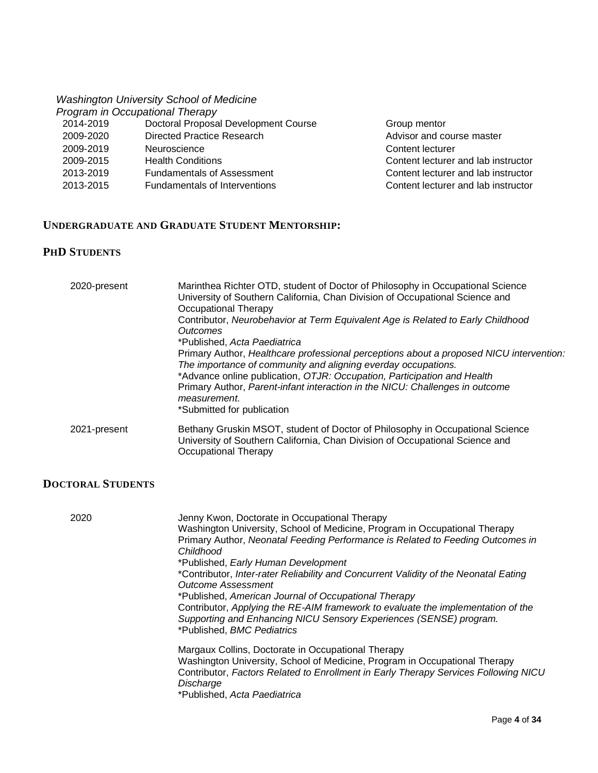# *Washington University School of Medicine*

|           | Program in Occupational Therapy      |
|-----------|--------------------------------------|
| 2014-2019 | Doctoral Proposal Development Course |
| 2009-2020 | Directed Practice Research           |
| 2009-2019 | Neuroscience                         |
| 2009-2015 | <b>Health Conditions</b>             |
| 2013-2019 | <b>Fundamentals of Assessment</b>    |
| 2013-2015 | <b>Fundamentals of Interventions</b> |
|           |                                      |

Group mentor Advisor and course master Content lecturer Content lecturer and lab instructor Content lecturer and lab instructor Content lecturer and lab instructor

## **UNDERGRADUATE AND GRADUATE STUDENT MENTORSHIP:**

## **PHD STUDENTS**

| 2020-present | Marinthea Richter OTD, student of Doctor of Philosophy in Occupational Science<br>University of Southern California, Chan Division of Occupational Science and<br>Occupational Therapy<br>Contributor, Neurobehavior at Term Equivalent Age is Related to Early Childhood<br><i><u><b>Outcomes</b></u></i><br>*Published, Acta Paediatrica<br>Primary Author, Healthcare professional perceptions about a proposed NICU intervention:<br>The importance of community and aligning everday occupations.<br>*Advance online publication, OTJR: Occupation, Participation and Health<br>Primary Author, Parent-infant interaction in the NICU: Challenges in outcome<br>measurement.<br>*Submitted for publication |
|--------------|-----------------------------------------------------------------------------------------------------------------------------------------------------------------------------------------------------------------------------------------------------------------------------------------------------------------------------------------------------------------------------------------------------------------------------------------------------------------------------------------------------------------------------------------------------------------------------------------------------------------------------------------------------------------------------------------------------------------|
| 2021-present | Bethany Gruskin MSOT, student of Doctor of Philosophy in Occupational Science<br>University of Southern California, Chan Division of Occupational Science and<br>Occupational Therapy                                                                                                                                                                                                                                                                                                                                                                                                                                                                                                                           |

## **DOCTORAL STUDENTS**

| 2020 | Jenny Kwon, Doctorate in Occupational Therapy                                        |
|------|--------------------------------------------------------------------------------------|
|      | Washington University, School of Medicine, Program in Occupational Therapy           |
|      | Primary Author, Neonatal Feeding Performance is Related to Feeding Outcomes in       |
|      | Childhood                                                                            |
|      | *Published, Early Human Development                                                  |
|      | *Contributor, Inter-rater Reliability and Concurrent Validity of the Neonatal Eating |
|      | <b>Outcome Assessment</b>                                                            |
|      | *Published, American Journal of Occupational Therapy                                 |
|      | Contributor, Applying the RE-AIM framework to evaluate the implementation of the     |
|      | Supporting and Enhancing NICU Sensory Experiences (SENSE) program.                   |
|      | *Published, BMC Pediatrics                                                           |
|      |                                                                                      |
|      | Margaux Collins, Doctorate in Occupational Therapy                                   |
|      | Washington University, School of Medicine, Program in Occupational Therapy           |
|      | Contributor, Factors Related to Enrollment in Early Therapy Services Following NICU  |
|      | Discharge                                                                            |
|      |                                                                                      |
|      | *Published, Acta Paediatrica                                                         |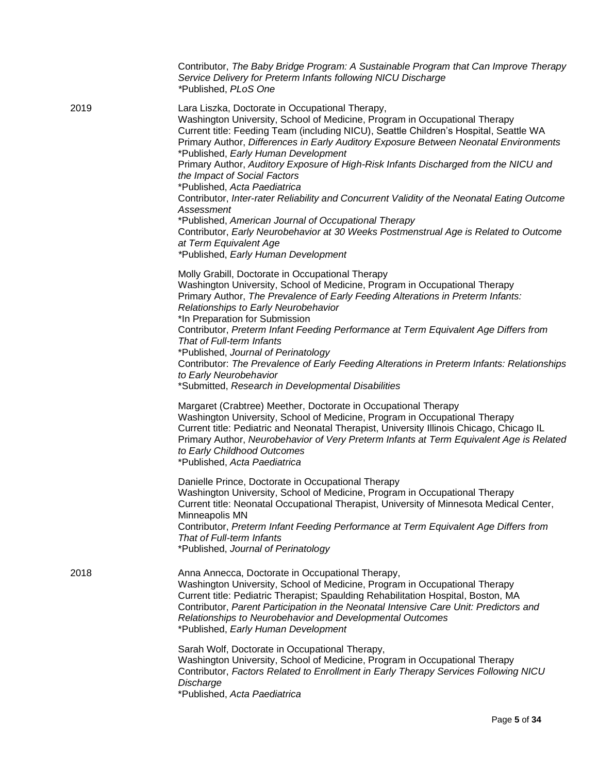|      | Contributor, The Baby Bridge Program: A Sustainable Program that Can Improve Therapy<br>Service Delivery for Preterm Infants following NICU Discharge<br>*Published, PLoS One                                                                                                                                                                                                                                                                                                                                                                                                                                                                                                                                                                                                                                                              |
|------|--------------------------------------------------------------------------------------------------------------------------------------------------------------------------------------------------------------------------------------------------------------------------------------------------------------------------------------------------------------------------------------------------------------------------------------------------------------------------------------------------------------------------------------------------------------------------------------------------------------------------------------------------------------------------------------------------------------------------------------------------------------------------------------------------------------------------------------------|
| 2019 | Lara Liszka, Doctorate in Occupational Therapy,<br>Washington University, School of Medicine, Program in Occupational Therapy<br>Current title: Feeding Team (including NICU), Seattle Children's Hospital, Seattle WA<br>Primary Author, Differences in Early Auditory Exposure Between Neonatal Environments<br>*Published, Early Human Development<br>Primary Author, Auditory Exposure of High-Risk Infants Discharged from the NICU and<br>the Impact of Social Factors<br>*Published, Acta Paediatrica<br>Contributor, Inter-rater Reliability and Concurrent Validity of the Neonatal Eating Outcome<br>Assessment<br>*Published, American Journal of Occupational Therapy<br>Contributor, Early Neurobehavior at 30 Weeks Postmenstrual Age is Related to Outcome<br>at Term Equivalent Age<br>*Published, Early Human Development |
|      | Molly Grabill, Doctorate in Occupational Therapy<br>Washington University, School of Medicine, Program in Occupational Therapy<br>Primary Author, The Prevalence of Early Feeding Alterations in Preterm Infants:<br>Relationships to Early Neurobehavior<br>*In Preparation for Submission<br>Contributor, Preterm Infant Feeding Performance at Term Equivalent Age Differs from<br>That of Full-term Infants<br>*Published, Journal of Perinatology<br>Contributor: The Prevalence of Early Feeding Alterations in Preterm Infants: Relationships<br>to Early Neurobehavior<br>*Submitted, Research in Developmental Disabilities                                                                                                                                                                                                       |
|      | Margaret (Crabtree) Meether, Doctorate in Occupational Therapy<br>Washington University, School of Medicine, Program in Occupational Therapy<br>Current title: Pediatric and Neonatal Therapist, University Illinois Chicago, Chicago IL<br>Primary Author, Neurobehavior of Very Preterm Infants at Term Equivalent Age is Related<br>to Early Childhood Outcomes<br>*Published, Acta Paediatrica                                                                                                                                                                                                                                                                                                                                                                                                                                         |
|      | Danielle Prince, Doctorate in Occupational Therapy<br>Washington University, School of Medicine, Program in Occupational Therapy<br>Current title: Neonatal Occupational Therapist, University of Minnesota Medical Center,<br>Minneapolis MN<br>Contributor, Preterm Infant Feeding Performance at Term Equivalent Age Differs from<br>That of Full-term Infants<br>*Published, Journal of Perinatology                                                                                                                                                                                                                                                                                                                                                                                                                                   |
| 2018 | Anna Annecca, Doctorate in Occupational Therapy,<br>Washington University, School of Medicine, Program in Occupational Therapy<br>Current title: Pediatric Therapist; Spaulding Rehabilitation Hospital, Boston, MA<br>Contributor, Parent Participation in the Neonatal Intensive Care Unit: Predictors and<br>Relationships to Neurobehavior and Developmental Outcomes<br>*Published, Early Human Development                                                                                                                                                                                                                                                                                                                                                                                                                           |
|      | Sarah Wolf, Doctorate in Occupational Therapy,<br>Washington University, School of Medicine, Program in Occupational Therapy<br>Contributor, Factors Related to Enrollment in Early Therapy Services Following NICU<br>Discharge<br>*Published, Acta Paediatrica                                                                                                                                                                                                                                                                                                                                                                                                                                                                                                                                                                           |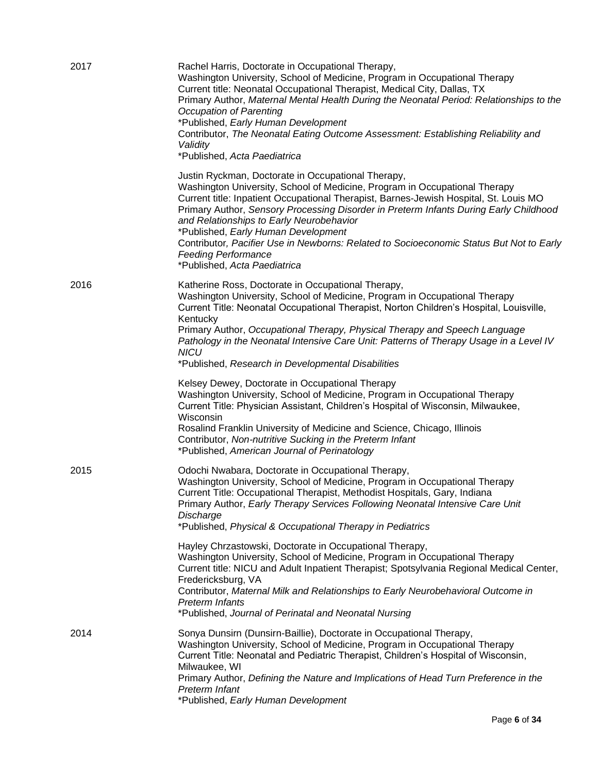| 2017 | Rachel Harris, Doctorate in Occupational Therapy,<br>Washington University, School of Medicine, Program in Occupational Therapy<br>Current title: Neonatal Occupational Therapist, Medical City, Dallas, TX<br>Primary Author, Maternal Mental Health During the Neonatal Period: Relationships to the<br><b>Occupation of Parenting</b><br>*Published, Early Human Development<br>Contributor, The Neonatal Eating Outcome Assessment: Establishing Reliability and<br>Validity<br>*Published, Acta Paediatrica                                               |
|------|----------------------------------------------------------------------------------------------------------------------------------------------------------------------------------------------------------------------------------------------------------------------------------------------------------------------------------------------------------------------------------------------------------------------------------------------------------------------------------------------------------------------------------------------------------------|
|      | Justin Ryckman, Doctorate in Occupational Therapy,<br>Washington University, School of Medicine, Program in Occupational Therapy<br>Current title: Inpatient Occupational Therapist, Barnes-Jewish Hospital, St. Louis MO<br>Primary Author, Sensory Processing Disorder in Preterm Infants During Early Childhood<br>and Relationships to Early Neurobehavior<br>*Published, Early Human Development<br>Contributor, Pacifier Use in Newborns: Related to Socioeconomic Status But Not to Early<br><b>Feeding Performance</b><br>*Published, Acta Paediatrica |
| 2016 | Katherine Ross, Doctorate in Occupational Therapy,<br>Washington University, School of Medicine, Program in Occupational Therapy<br>Current Title: Neonatal Occupational Therapist, Norton Children's Hospital, Louisville,<br>Kentucky<br>Primary Author, Occupational Therapy, Physical Therapy and Speech Language<br>Pathology in the Neonatal Intensive Care Unit: Patterns of Therapy Usage in a Level IV<br><b>NICU</b><br>*Published, Research in Developmental Disabilities                                                                           |
|      | Kelsey Dewey, Doctorate in Occupational Therapy<br>Washington University, School of Medicine, Program in Occupational Therapy<br>Current Title: Physician Assistant, Children's Hospital of Wisconsin, Milwaukee,<br>Wisconsin<br>Rosalind Franklin University of Medicine and Science, Chicago, Illinois<br>Contributor, Non-nutritive Sucking in the Preterm Infant<br>*Published, American Journal of Perinatology                                                                                                                                          |
| 2015 | Odochi Nwabara, Doctorate in Occupational Therapy,<br>Washington University, School of Medicine, Program in Occupational Therapy<br>Current Title: Occupational Therapist, Methodist Hospitals, Gary, Indiana<br>Primary Author, Early Therapy Services Following Neonatal Intensive Care Unit<br>Discharge<br>*Published, Physical & Occupational Therapy in Pediatrics                                                                                                                                                                                       |
|      | Hayley Chrzastowski, Doctorate in Occupational Therapy,<br>Washington University, School of Medicine, Program in Occupational Therapy<br>Current title: NICU and Adult Inpatient Therapist; Spotsylvania Regional Medical Center,<br>Fredericksburg, VA<br>Contributor, Maternal Milk and Relationships to Early Neurobehavioral Outcome in<br>Preterm Infants<br>*Published, Journal of Perinatal and Neonatal Nursing                                                                                                                                        |
| 2014 | Sonya Dunsirn (Dunsirn-Baillie), Doctorate in Occupational Therapy,<br>Washington University, School of Medicine, Program in Occupational Therapy<br>Current Title: Neonatal and Pediatric Therapist, Children's Hospital of Wisconsin,<br>Milwaukee, WI<br>Primary Author, Defining the Nature and Implications of Head Turn Preference in the<br>Preterm Infant<br>*Published, Early Human Development                                                                                                                                                       |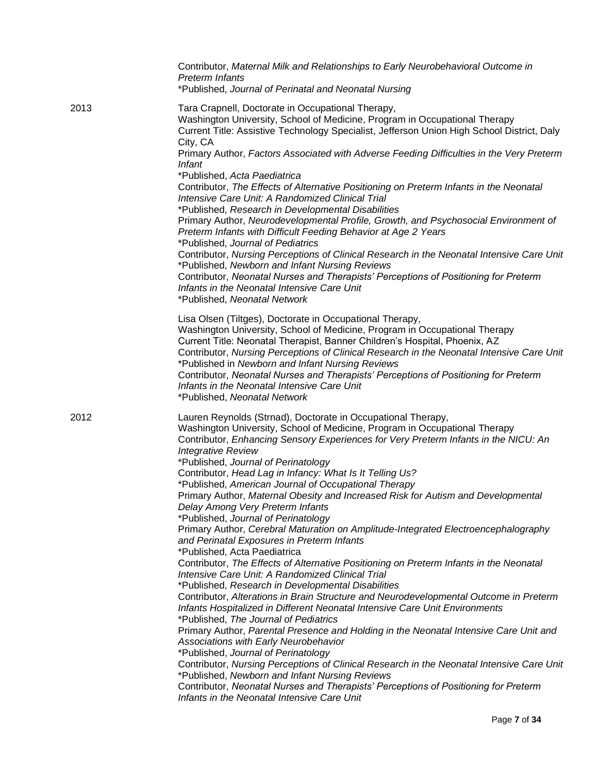|      | Contributor, Maternal Milk and Relationships to Early Neurobehavioral Outcome in<br><b>Preterm Infants</b><br>*Published, Journal of Perinatal and Neonatal Nursing                                                                                                                                                                                                                                                                                                                                                                                                                                                                                                                                                                                                                                                                                                                                                                                                                                                                                                                                                                                                                                                                                                                                                                                                                                                                                                                                       |
|------|-----------------------------------------------------------------------------------------------------------------------------------------------------------------------------------------------------------------------------------------------------------------------------------------------------------------------------------------------------------------------------------------------------------------------------------------------------------------------------------------------------------------------------------------------------------------------------------------------------------------------------------------------------------------------------------------------------------------------------------------------------------------------------------------------------------------------------------------------------------------------------------------------------------------------------------------------------------------------------------------------------------------------------------------------------------------------------------------------------------------------------------------------------------------------------------------------------------------------------------------------------------------------------------------------------------------------------------------------------------------------------------------------------------------------------------------------------------------------------------------------------------|
| 2013 | Tara Crapnell, Doctorate in Occupational Therapy,<br>Washington University, School of Medicine, Program in Occupational Therapy<br>Current Title: Assistive Technology Specialist, Jefferson Union High School District, Daly<br>City, CA<br>Primary Author, Factors Associated with Adverse Feeding Difficulties in the Very Preterm                                                                                                                                                                                                                                                                                                                                                                                                                                                                                                                                                                                                                                                                                                                                                                                                                                                                                                                                                                                                                                                                                                                                                                     |
|      | <i>Infant</i><br>*Published, Acta Paediatrica<br>Contributor, The Effects of Alternative Positioning on Preterm Infants in the Neonatal<br>Intensive Care Unit: A Randomized Clinical Trial<br>*Published, Research in Developmental Disabilities<br>Primary Author, Neurodevelopmental Profile, Growth, and Psychosocial Environment of<br>Preterm Infants with Difficult Feeding Behavior at Age 2 Years<br>*Published, Journal of Pediatrics<br>Contributor, Nursing Perceptions of Clinical Research in the Neonatal Intensive Care Unit<br>*Published, Newborn and Infant Nursing Reviews<br>Contributor, Neonatal Nurses and Therapists' Perceptions of Positioning for Preterm<br>Infants in the Neonatal Intensive Care Unit<br>*Published, Neonatal Network                                                                                                                                                                                                                                                                                                                                                                                                                                                                                                                                                                                                                                                                                                                                      |
|      | Lisa Olsen (Tiltges), Doctorate in Occupational Therapy,<br>Washington University, School of Medicine, Program in Occupational Therapy<br>Current Title: Neonatal Therapist, Banner Children's Hospital, Phoenix, AZ<br>Contributor, Nursing Perceptions of Clinical Research in the Neonatal Intensive Care Unit<br>*Published in Newborn and Infant Nursing Reviews<br>Contributor, Neonatal Nurses and Therapists' Perceptions of Positioning for Preterm<br>Infants in the Neonatal Intensive Care Unit<br>*Published, Neonatal Network                                                                                                                                                                                                                                                                                                                                                                                                                                                                                                                                                                                                                                                                                                                                                                                                                                                                                                                                                               |
| 2012 | Lauren Reynolds (Strnad), Doctorate in Occupational Therapy,<br>Washington University, School of Medicine, Program in Occupational Therapy<br>Contributor, Enhancing Sensory Experiences for Very Preterm Infants in the NICU: An<br><b>Integrative Review</b><br>*Published, Journal of Perinatology<br>Contributor, Head Lag in Infancy: What Is It Telling Us?<br>*Published, American Journal of Occupational Therapy<br>Primary Author, Maternal Obesity and Increased Risk for Autism and Developmental<br>Delay Among Very Preterm Infants<br>*Published, Journal of Perinatology<br>Primary Author, Cerebral Maturation on Amplitude-Integrated Electroencephalography<br>and Perinatal Exposures in Preterm Infants<br>*Published, Acta Paediatrica<br>Contributor, The Effects of Alternative Positioning on Preterm Infants in the Neonatal<br>Intensive Care Unit: A Randomized Clinical Trial<br>*Published, Research in Developmental Disabilities<br>Contributor, Alterations in Brain Structure and Neurodevelopmental Outcome in Preterm<br>Infants Hospitalized in Different Neonatal Intensive Care Unit Environments<br>*Published, The Journal of Pediatrics<br>Primary Author, Parental Presence and Holding in the Neonatal Intensive Care Unit and<br>Associations with Early Neurobehavior<br>*Published, Journal of Perinatology<br>Contributor, Nursing Perceptions of Clinical Research in the Neonatal Intensive Care Unit<br>*Published, Newborn and Infant Nursing Reviews |
|      | Contributor, Neonatal Nurses and Therapists' Perceptions of Positioning for Preterm<br>Infants in the Neonatal Intensive Care Unit                                                                                                                                                                                                                                                                                                                                                                                                                                                                                                                                                                                                                                                                                                                                                                                                                                                                                                                                                                                                                                                                                                                                                                                                                                                                                                                                                                        |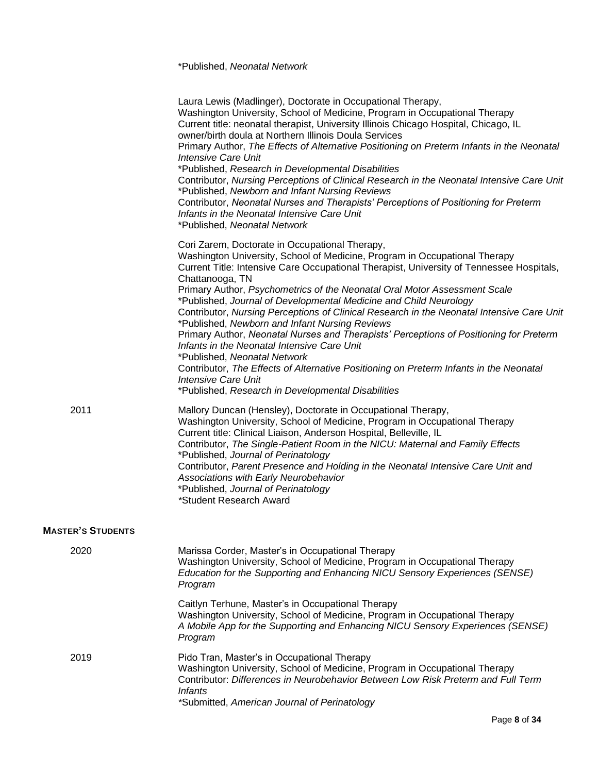|                          | Laura Lewis (Madlinger), Doctorate in Occupational Therapy,<br>Washington University, School of Medicine, Program in Occupational Therapy<br>Current title: neonatal therapist, University Illinois Chicago Hospital, Chicago, IL<br>owner/birth doula at Northern Illinois Doula Services<br>Primary Author, The Effects of Alternative Positioning on Preterm Infants in the Neonatal<br><b>Intensive Care Unit</b><br>*Published, Research in Developmental Disabilities<br>Contributor, Nursing Perceptions of Clinical Research in the Neonatal Intensive Care Unit<br>*Published, Newborn and Infant Nursing Reviews<br>Contributor, Neonatal Nurses and Therapists' Perceptions of Positioning for Preterm<br>Infants in the Neonatal Intensive Care Unit<br>*Published, Neonatal Network                                                                                                    |
|--------------------------|-----------------------------------------------------------------------------------------------------------------------------------------------------------------------------------------------------------------------------------------------------------------------------------------------------------------------------------------------------------------------------------------------------------------------------------------------------------------------------------------------------------------------------------------------------------------------------------------------------------------------------------------------------------------------------------------------------------------------------------------------------------------------------------------------------------------------------------------------------------------------------------------------------|
|                          | Cori Zarem, Doctorate in Occupational Therapy,<br>Washington University, School of Medicine, Program in Occupational Therapy<br>Current Title: Intensive Care Occupational Therapist, University of Tennessee Hospitals,<br>Chattanooga, TN<br>Primary Author, Psychometrics of the Neonatal Oral Motor Assessment Scale<br>*Published, Journal of Developmental Medicine and Child Neurology<br>Contributor, Nursing Perceptions of Clinical Research in the Neonatal Intensive Care Unit<br>*Published, Newborn and Infant Nursing Reviews<br>Primary Author, Neonatal Nurses and Therapists' Perceptions of Positioning for Preterm<br>Infants in the Neonatal Intensive Care Unit<br>*Published, Neonatal Network<br>Contributor, The Effects of Alternative Positioning on Preterm Infants in the Neonatal<br><b>Intensive Care Unit</b><br>*Published, Research in Developmental Disabilities |
| 2011                     | Mallory Duncan (Hensley), Doctorate in Occupational Therapy,<br>Washington University, School of Medicine, Program in Occupational Therapy<br>Current title: Clinical Liaison, Anderson Hospital, Belleville, IL<br>Contributor, The Single-Patient Room in the NICU: Maternal and Family Effects<br>*Published, Journal of Perinatology<br>Contributor, Parent Presence and Holding in the Neonatal Intensive Care Unit and<br>Associations with Early Neurobehavior<br>*Published, Journal of Perinatology<br>*Student Research Award                                                                                                                                                                                                                                                                                                                                                             |
| <b>MASTER'S STUDENTS</b> |                                                                                                                                                                                                                                                                                                                                                                                                                                                                                                                                                                                                                                                                                                                                                                                                                                                                                                     |
| 2020                     | Marissa Corder, Master's in Occupational Therapy<br>Washington University, School of Medicine, Program in Occupational Therapy<br>Education for the Supporting and Enhancing NICU Sensory Experiences (SENSE)<br>Program                                                                                                                                                                                                                                                                                                                                                                                                                                                                                                                                                                                                                                                                            |
|                          | Caitlyn Terhune, Master's in Occupational Therapy<br>Washington University, School of Medicine, Program in Occupational Therapy<br>A Mobile App for the Supporting and Enhancing NICU Sensory Experiences (SENSE)<br>Program                                                                                                                                                                                                                                                                                                                                                                                                                                                                                                                                                                                                                                                                        |
| 2019                     | Pido Tran, Master's in Occupational Therapy<br>Washington University, School of Medicine, Program in Occupational Therapy<br>Contributor: Differences in Neurobehavior Between Low Risk Preterm and Full Term<br><b>Infants</b><br>*Submitted, American Journal of Perinatology                                                                                                                                                                                                                                                                                                                                                                                                                                                                                                                                                                                                                     |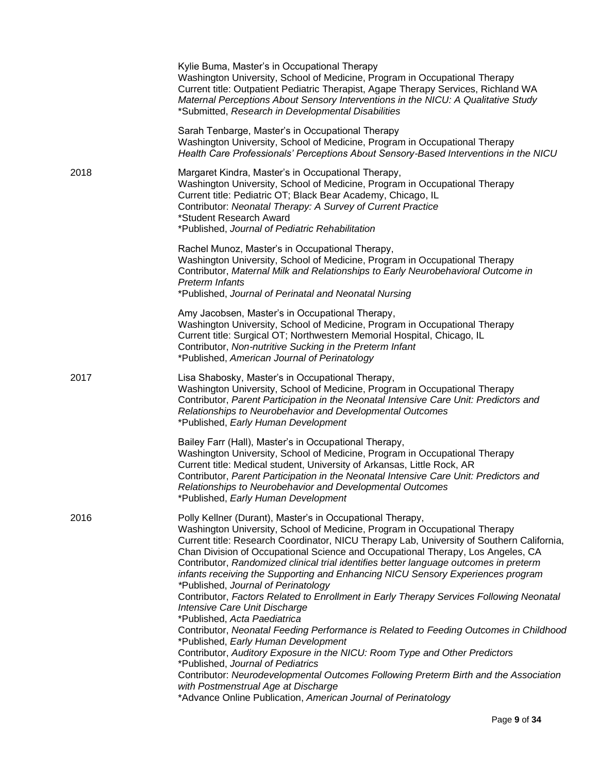|      | Kylie Buma, Master's in Occupational Therapy<br>Washington University, School of Medicine, Program in Occupational Therapy<br>Current title: Outpatient Pediatric Therapist, Agape Therapy Services, Richland WA<br>Maternal Perceptions About Sensory Interventions in the NICU: A Qualitative Study<br>*Submitted, Research in Developmental Disabilities                                                                                                                                                                                                                                                                                                                                                                                                                                                                                                                                                                                                                                                                                                                              |
|------|------------------------------------------------------------------------------------------------------------------------------------------------------------------------------------------------------------------------------------------------------------------------------------------------------------------------------------------------------------------------------------------------------------------------------------------------------------------------------------------------------------------------------------------------------------------------------------------------------------------------------------------------------------------------------------------------------------------------------------------------------------------------------------------------------------------------------------------------------------------------------------------------------------------------------------------------------------------------------------------------------------------------------------------------------------------------------------------|
|      | Sarah Tenbarge, Master's in Occupational Therapy<br>Washington University, School of Medicine, Program in Occupational Therapy<br>Health Care Professionals' Perceptions About Sensory-Based Interventions in the NICU                                                                                                                                                                                                                                                                                                                                                                                                                                                                                                                                                                                                                                                                                                                                                                                                                                                                   |
| 2018 | Margaret Kindra, Master's in Occupational Therapy,<br>Washington University, School of Medicine, Program in Occupational Therapy<br>Current title: Pediatric OT; Black Bear Academy, Chicago, IL<br>Contributor: Neonatal Therapy: A Survey of Current Practice<br>*Student Research Award<br>*Published, Journal of Pediatric Rehabilitation                                                                                                                                                                                                                                                                                                                                                                                                                                                                                                                                                                                                                                                                                                                                            |
|      | Rachel Munoz, Master's in Occupational Therapy,<br>Washington University, School of Medicine, Program in Occupational Therapy<br>Contributor, Maternal Milk and Relationships to Early Neurobehavioral Outcome in<br><b>Preterm Infants</b><br>*Published, Journal of Perinatal and Neonatal Nursing                                                                                                                                                                                                                                                                                                                                                                                                                                                                                                                                                                                                                                                                                                                                                                                     |
|      | Amy Jacobsen, Master's in Occupational Therapy,<br>Washington University, School of Medicine, Program in Occupational Therapy<br>Current title: Surgical OT; Northwestern Memorial Hospital, Chicago, IL<br>Contributor, Non-nutritive Sucking in the Preterm Infant<br>*Published, American Journal of Perinatology                                                                                                                                                                                                                                                                                                                                                                                                                                                                                                                                                                                                                                                                                                                                                                     |
| 2017 | Lisa Shabosky, Master's in Occupational Therapy,<br>Washington University, School of Medicine, Program in Occupational Therapy<br>Contributor, Parent Participation in the Neonatal Intensive Care Unit: Predictors and<br>Relationships to Neurobehavior and Developmental Outcomes<br>*Published, Early Human Development                                                                                                                                                                                                                                                                                                                                                                                                                                                                                                                                                                                                                                                                                                                                                              |
|      | Bailey Farr (Hall), Master's in Occupational Therapy,<br>Washington University, School of Medicine, Program in Occupational Therapy<br>Current title: Medical student, University of Arkansas, Little Rock, AR<br>Contributor, Parent Participation in the Neonatal Intensive Care Unit: Predictors and<br>Relationships to Neurobehavior and Developmental Outcomes<br>*Published, Early Human Development                                                                                                                                                                                                                                                                                                                                                                                                                                                                                                                                                                                                                                                                              |
| 2016 | Polly Kellner (Durant), Master's in Occupational Therapy,<br>Washington University, School of Medicine, Program in Occupational Therapy<br>Current title: Research Coordinator, NICU Therapy Lab, University of Southern California,<br>Chan Division of Occupational Science and Occupational Therapy, Los Angeles, CA<br>Contributor, Randomized clinical trial identifies better language outcomes in preterm<br>infants receiving the Supporting and Enhancing NICU Sensory Experiences program<br>*Published, Journal of Perinatology<br>Contributor, Factors Related to Enrollment in Early Therapy Services Following Neonatal<br>Intensive Care Unit Discharge<br>*Published, Acta Paediatrica<br>Contributor, Neonatal Feeding Performance is Related to Feeding Outcomes in Childhood<br>*Published, Early Human Development<br>Contributor, Auditory Exposure in the NICU: Room Type and Other Predictors<br>*Published, Journal of Pediatrics<br>Contributor: Neurodevelopmental Outcomes Following Preterm Birth and the Association<br>with Postmenstrual Age at Discharge |
|      | *Advance Online Publication, American Journal of Perinatology                                                                                                                                                                                                                                                                                                                                                                                                                                                                                                                                                                                                                                                                                                                                                                                                                                                                                                                                                                                                                            |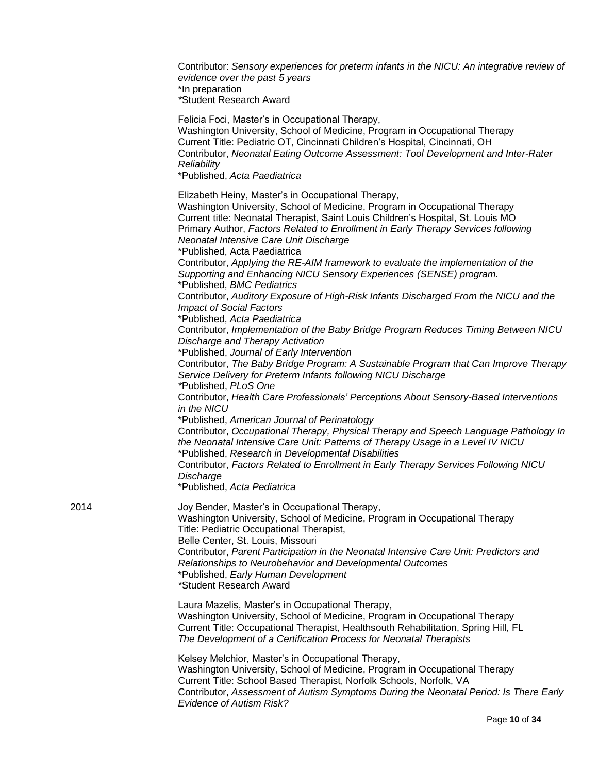|      | Contributor: Sensory experiences for preterm infants in the NICU: An integrative review of<br>evidence over the past 5 years<br>*In preparation<br>*Student Research Award                                                                                                                                                                                                                                                                                                                                                                                                  |
|------|-----------------------------------------------------------------------------------------------------------------------------------------------------------------------------------------------------------------------------------------------------------------------------------------------------------------------------------------------------------------------------------------------------------------------------------------------------------------------------------------------------------------------------------------------------------------------------|
|      | Felicia Foci, Master's in Occupational Therapy,<br>Washington University, School of Medicine, Program in Occupational Therapy<br>Current Title: Pediatric OT, Cincinnati Children's Hospital, Cincinnati, OH<br>Contributor, Neonatal Eating Outcome Assessment: Tool Development and Inter-Rater<br>Reliability<br>*Published, Acta Paediatrica                                                                                                                                                                                                                            |
|      | Elizabeth Heiny, Master's in Occupational Therapy,<br>Washington University, School of Medicine, Program in Occupational Therapy<br>Current title: Neonatal Therapist, Saint Louis Children's Hospital, St. Louis MO<br>Primary Author, Factors Related to Enrollment in Early Therapy Services following<br>Neonatal Intensive Care Unit Discharge<br>*Published, Acta Paediatrica<br>Contributor, Applying the RE-AIM framework to evaluate the implementation of the<br>Supporting and Enhancing NICU Sensory Experiences (SENSE) program.<br>*Published, BMC Pediatrics |
|      | Contributor, Auditory Exposure of High-Risk Infants Discharged From the NICU and the<br><b>Impact of Social Factors</b><br>*Published, Acta Paediatrica<br>Contributor, Implementation of the Baby Bridge Program Reduces Timing Between NICU<br>Discharge and Therapy Activation<br>*Published, Journal of Early Intervention                                                                                                                                                                                                                                              |
|      | Contributor, The Baby Bridge Program: A Sustainable Program that Can Improve Therapy<br>Service Delivery for Preterm Infants following NICU Discharge<br>*Published, PLoS One                                                                                                                                                                                                                                                                                                                                                                                               |
|      | Contributor, Health Care Professionals' Perceptions About Sensory-Based Interventions<br>in the NICU                                                                                                                                                                                                                                                                                                                                                                                                                                                                        |
|      | *Published, American Journal of Perinatology<br>Contributor, Occupational Therapy, Physical Therapy and Speech Language Pathology In<br>the Neonatal Intensive Care Unit: Patterns of Therapy Usage in a Level IV NICU<br>*Published, Research in Developmental Disabilities<br>Contributor, Factors Related to Enrollment in Early Therapy Services Following NICU                                                                                                                                                                                                         |
|      | Discharge<br>*Published, Acta Pediatrica                                                                                                                                                                                                                                                                                                                                                                                                                                                                                                                                    |
| 2014 | Joy Bender, Master's in Occupational Therapy,<br>Washington University, School of Medicine, Program in Occupational Therapy<br>Title: Pediatric Occupational Therapist,<br>Belle Center, St. Louis, Missouri                                                                                                                                                                                                                                                                                                                                                                |
|      | Contributor, Parent Participation in the Neonatal Intensive Care Unit: Predictors and<br>Relationships to Neurobehavior and Developmental Outcomes<br>*Published, Early Human Development<br>*Student Research Award                                                                                                                                                                                                                                                                                                                                                        |
|      | Laura Mazelis, Master's in Occupational Therapy,<br>Washington University, School of Medicine, Program in Occupational Therapy<br>Current Title: Occupational Therapist, Healthsouth Rehabilitation, Spring Hill, FL<br>The Development of a Certification Process for Neonatal Therapists                                                                                                                                                                                                                                                                                  |
|      | Kelsey Melchior, Master's in Occupational Therapy,<br>Washington University, School of Medicine, Program in Occupational Therapy<br>Current Title: School Based Therapist, Norfolk Schools, Norfolk, VA                                                                                                                                                                                                                                                                                                                                                                     |
|      | Contributor, Assessment of Autism Symptoms During the Neonatal Period: Is There Early<br><b>Evidence of Autism Risk?</b>                                                                                                                                                                                                                                                                                                                                                                                                                                                    |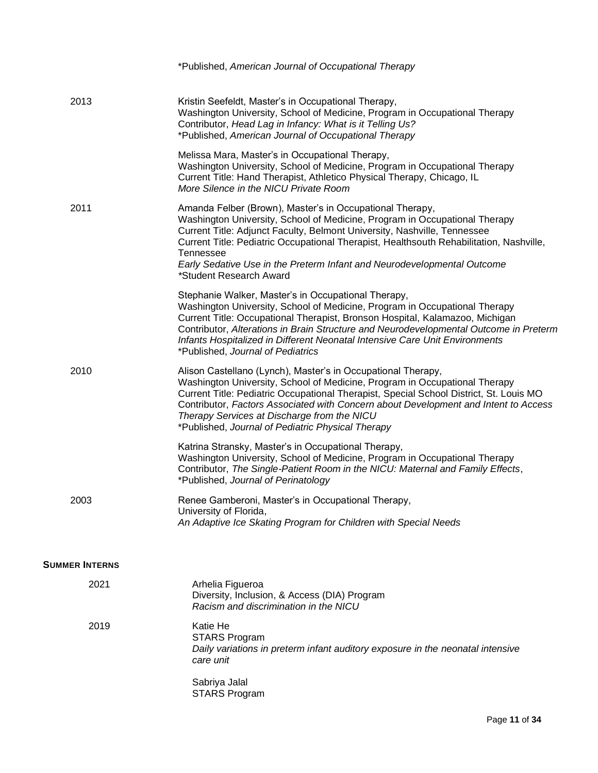|                       | *Published, American Journal of Occupational Therapy                                                                                                                                                                                                                                                                                                                                                                                    |
|-----------------------|-----------------------------------------------------------------------------------------------------------------------------------------------------------------------------------------------------------------------------------------------------------------------------------------------------------------------------------------------------------------------------------------------------------------------------------------|
| 2013                  | Kristin Seefeldt, Master's in Occupational Therapy,<br>Washington University, School of Medicine, Program in Occupational Therapy<br>Contributor, Head Lag in Infancy: What is it Telling Us?<br>*Published, American Journal of Occupational Therapy                                                                                                                                                                                   |
|                       | Melissa Mara, Master's in Occupational Therapy,<br>Washington University, School of Medicine, Program in Occupational Therapy<br>Current Title: Hand Therapist, Athletico Physical Therapy, Chicago, IL<br>More Silence in the NICU Private Room                                                                                                                                                                                        |
| 2011                  | Amanda Felber (Brown), Master's in Occupational Therapy,<br>Washington University, School of Medicine, Program in Occupational Therapy<br>Current Title: Adjunct Faculty, Belmont University, Nashville, Tennessee<br>Current Title: Pediatric Occupational Therapist, Healthsouth Rehabilitation, Nashville,<br><b>Tennessee</b><br>Early Sedative Use in the Preterm Infant and Neurodevelopmental Outcome<br>*Student Research Award |
|                       | Stephanie Walker, Master's in Occupational Therapy,<br>Washington University, School of Medicine, Program in Occupational Therapy<br>Current Title: Occupational Therapist, Bronson Hospital, Kalamazoo, Michigan<br>Contributor, Alterations in Brain Structure and Neurodevelopmental Outcome in Preterm<br>Infants Hospitalized in Different Neonatal Intensive Care Unit Environments<br>*Published, Journal of Pediatrics          |
| 2010                  | Alison Castellano (Lynch), Master's in Occupational Therapy,<br>Washington University, School of Medicine, Program in Occupational Therapy<br>Current Title: Pediatric Occupational Therapist, Special School District, St. Louis MO<br>Contributor, Factors Associated with Concern about Development and Intent to Access<br>Therapy Services at Discharge from the NICU<br>*Published, Journal of Pediatric Physical Therapy         |
|                       | Katrina Stransky, Master's in Occupational Therapy,<br>Washington University, School of Medicine, Program in Occupational Therapy<br>Contributor, The Single-Patient Room in the NICU: Maternal and Family Effects,<br>*Published, Journal of Perinatology                                                                                                                                                                              |
| 2003                  | Renee Gamberoni, Master's in Occupational Therapy,<br>University of Florida,<br>An Adaptive Ice Skating Program for Children with Special Needs                                                                                                                                                                                                                                                                                         |
| <b>SUMMER INTERNS</b> |                                                                                                                                                                                                                                                                                                                                                                                                                                         |
| 2021                  | Arhelia Figueroa<br>Diversity, Inclusion, & Access (DIA) Program<br>Racism and discrimination in the NICU                                                                                                                                                                                                                                                                                                                               |
| 2019                  | Katie He<br><b>STARS Program</b><br>Daily variations in preterm infant auditory exposure in the neonatal intensive<br>care unit                                                                                                                                                                                                                                                                                                         |
|                       | Sabriya Jalal<br><b>STARS Program</b>                                                                                                                                                                                                                                                                                                                                                                                                   |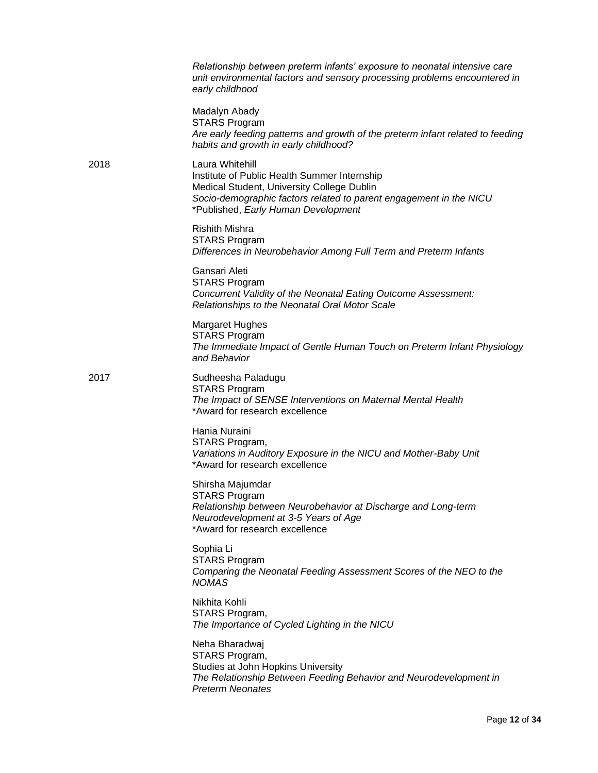|      | Relationship between preterm infants' exposure to neonatal intensive care<br>unit environmental factors and sensory processing problems encountered in<br>early childhood                                                  |
|------|----------------------------------------------------------------------------------------------------------------------------------------------------------------------------------------------------------------------------|
|      | Madalyn Abady<br><b>STARS Program</b><br>Are early feeding patterns and growth of the preterm infant related to feeding<br>habits and growth in early childhood?                                                           |
| 2018 | Laura Whitehill<br>Institute of Public Health Summer Internship<br>Medical Student, University College Dublin<br>Socio-demographic factors related to parent engagement in the NICU<br>*Published, Early Human Development |
|      | <b>Rishith Mishra</b><br><b>STARS Program</b><br>Differences in Neurobehavior Among Full Term and Preterm Infants                                                                                                          |
|      | Gansari Aleti<br><b>STARS Program</b><br>Concurrent Validity of the Neonatal Eating Outcome Assessment:<br>Relationships to the Neonatal Oral Motor Scale                                                                  |
|      | Margaret Hughes<br><b>STARS Program</b><br>The Immediate Impact of Gentle Human Touch on Preterm Infant Physiology<br>and Behavior                                                                                         |
| 2017 | Sudheesha Paladugu<br><b>STARS Program</b><br>The Impact of SENSE Interventions on Maternal Mental Health<br>*Award for research excellence                                                                                |
|      | Hania Nuraini<br>STARS Program,<br>Variations in Auditory Exposure in the NICU and Mother-Baby Unit<br>*Award for research excellence                                                                                      |
|      | Shirsha Majumdar<br><b>STARS Program</b><br>Relationship between Neurobehavior at Discharge and Long-term<br>Neurodevelopment at 3-5 Years of Age<br>*Award for research excellence                                        |
|      | Sophia Li<br><b>STARS Program</b><br>Comparing the Neonatal Feeding Assessment Scores of the NEO to the<br><b>NOMAS</b>                                                                                                    |
|      | Nikhita Kohli<br>STARS Program,<br>The Importance of Cycled Lighting in the NICU                                                                                                                                           |
|      | Neha Bharadwaj<br>STARS Program,<br>Studies at John Hopkins University<br>The Relationship Between Feeding Behavior and Neurodevelopment in<br><b>Preterm Neonates</b>                                                     |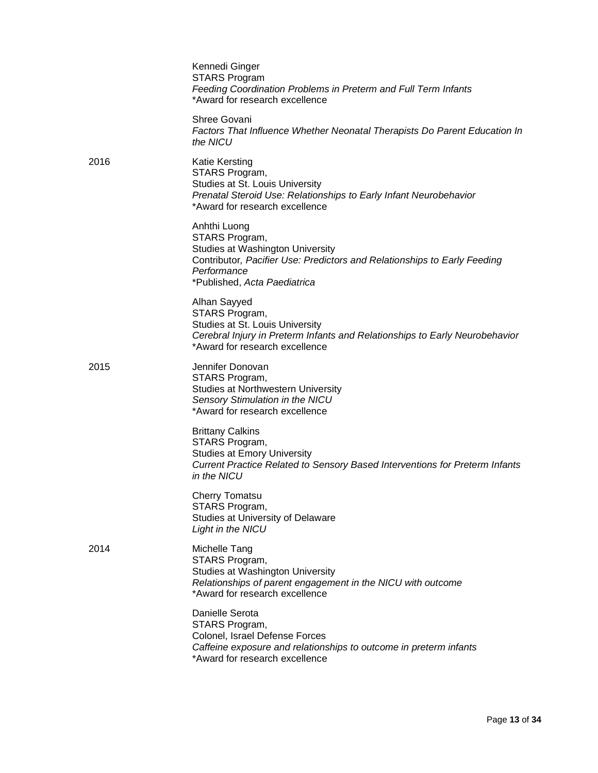|      | Kennedi Ginger<br><b>STARS Program</b><br>Feeding Coordination Problems in Preterm and Full Term Infants<br>*Award for research excellence                                                    |
|------|-----------------------------------------------------------------------------------------------------------------------------------------------------------------------------------------------|
|      | Shree Govani<br>Factors That Influence Whether Neonatal Therapists Do Parent Education In<br>the NICU                                                                                         |
| 2016 | <b>Katie Kersting</b><br>STARS Program,<br>Studies at St. Louis University<br>Prenatal Steroid Use: Relationships to Early Infant Neurobehavior<br>*Award for research excellence             |
|      | Anhthi Luong<br>STARS Program,<br>Studies at Washington University<br>Contributor, Pacifier Use: Predictors and Relationships to Early Feeding<br>Performance<br>*Published, Acta Paediatrica |
|      | Alhan Sayyed<br>STARS Program,<br>Studies at St. Louis University<br>Cerebral Injury in Preterm Infants and Relationships to Early Neurobehavior<br>*Award for research excellence            |
| 2015 | Jennifer Donovan<br>STARS Program,<br>Studies at Northwestern University<br>Sensory Stimulation in the NICU<br>*Award for research excellence                                                 |
|      | <b>Brittany Calkins</b><br>STARS Program,<br><b>Studies at Emory University</b><br>Current Practice Related to Sensory Based Interventions for Preterm Infants<br>in the NICU                 |
|      | <b>Cherry Tomatsu</b><br>STARS Program,<br>Studies at University of Delaware<br>Light in the NICU                                                                                             |
| 2014 | Michelle Tang<br>STARS Program,<br>Studies at Washington University<br>Relationships of parent engagement in the NICU with outcome<br>*Award for research excellence                          |
|      | Danielle Serota<br>STARS Program,<br>Colonel, Israel Defense Forces<br>Caffeine exposure and relationships to outcome in preterm infants<br>*Award for research excellence                    |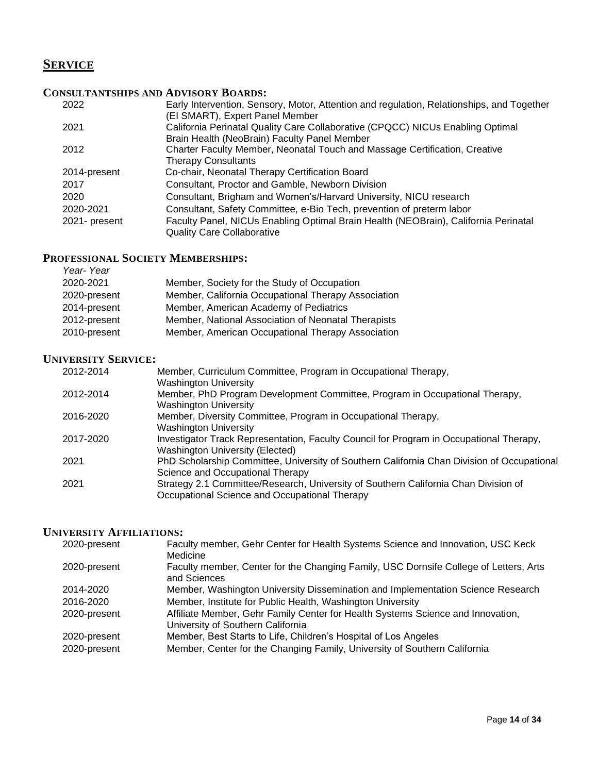# **SERVICE**

## **CONSULTANTSHIPS AND ADVISORY BOARDS:**

| 2022          | Early Intervention, Sensory, Motor, Attention and regulation, Relationships, and Together |
|---------------|-------------------------------------------------------------------------------------------|
|               | (EI SMART), Expert Panel Member                                                           |
| 2021          | California Perinatal Quality Care Collaborative (CPQCC) NICUs Enabling Optimal            |
|               | Brain Health (NeoBrain) Faculty Panel Member                                              |
| 2012          | Charter Faculty Member, Neonatal Touch and Massage Certification, Creative                |
|               | <b>Therapy Consultants</b>                                                                |
| 2014-present  | Co-chair, Neonatal Therapy Certification Board                                            |
| 2017          | Consultant, Proctor and Gamble, Newborn Division                                          |
| 2020          | Consultant, Brigham and Women's/Harvard University, NICU research                         |
| 2020-2021     | Consultant, Safety Committee, e-Bio Tech, prevention of preterm labor                     |
| 2021- present | Faculty Panel, NICUs Enabling Optimal Brain Health (NEOBrain), California Perinatal       |
|               | <b>Quality Care Collaborative</b>                                                         |

#### **PROFESSIONAL SOCIETY MEMBERSHIPS:** *Year- Year*

| rear-rear    |                                                     |
|--------------|-----------------------------------------------------|
| 2020-2021    | Member, Society for the Study of Occupation         |
| 2020-present | Member, California Occupational Therapy Association |
| 2014-present | Member, American Academy of Pediatrics              |
| 2012-present | Member, National Association of Neonatal Therapists |
| 2010-present | Member, American Occupational Therapy Association   |

#### **UNIVERSITY SERVICE:**

| 2012-2014 | Member, Curriculum Committee, Program in Occupational Therapy,<br><b>Washington University</b>                                       |
|-----------|--------------------------------------------------------------------------------------------------------------------------------------|
| 2012-2014 | Member, PhD Program Development Committee, Program in Occupational Therapy,<br><b>Washington University</b>                          |
| 2016-2020 | Member, Diversity Committee, Program in Occupational Therapy,<br><b>Washington University</b>                                        |
| 2017-2020 | Investigator Track Representation, Faculty Council for Program in Occupational Therapy,<br><b>Washington University (Elected)</b>    |
| 2021      | PhD Scholarship Committee, University of Southern California Chan Division of Occupational<br>Science and Occupational Therapy       |
| 2021      | Strategy 2.1 Committee/Research, University of Southern California Chan Division of<br>Occupational Science and Occupational Therapy |

## **UNIVERSITY AFFILIATIONS:**

| 2020-present | Faculty member, Gehr Center for Health Systems Science and Innovation, USC Keck<br>Medicine                          |
|--------------|----------------------------------------------------------------------------------------------------------------------|
| 2020-present | Faculty member, Center for the Changing Family, USC Dornsife College of Letters, Arts<br>and Sciences                |
| 2014-2020    | Member, Washington University Dissemination and Implementation Science Research                                      |
| 2016-2020    | Member, Institute for Public Health, Washington University                                                           |
| 2020-present | Affiliate Member, Gehr Family Center for Health Systems Science and Innovation,<br>University of Southern California |
| 2020-present | Member, Best Starts to Life, Children's Hospital of Los Angeles                                                      |
| 2020-present | Member, Center for the Changing Family, University of Southern California                                            |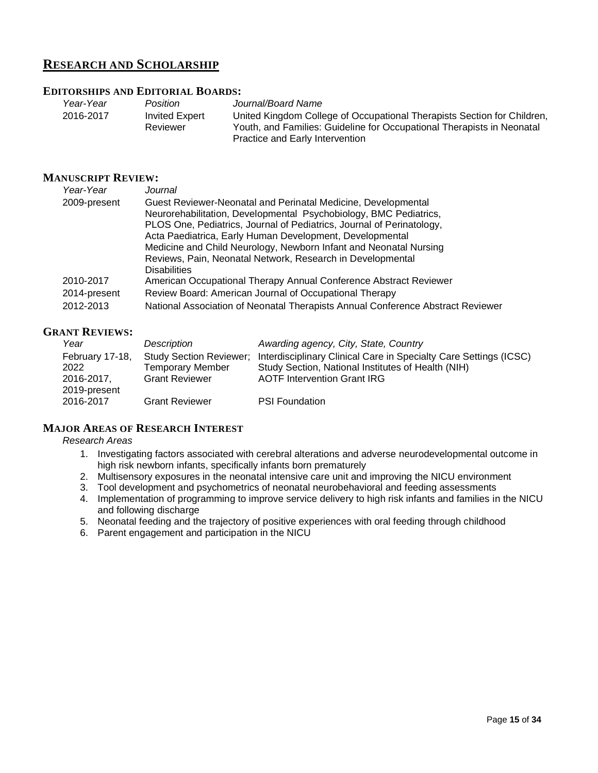## **RESEARCH AND SCHOLARSHIP**

## **EDITORSHIPS AND EDITORIAL BOARDS:**

| Year-Year | <b>Position</b>       | Journal/Board Name                                                      |
|-----------|-----------------------|-------------------------------------------------------------------------|
| 2016-2017 | <b>Invited Expert</b> | United Kingdom College of Occupational Therapists Section for Children, |
|           | Reviewer              | Youth, and Families: Guideline for Occupational Therapists in Neonatal  |
|           |                       | Practice and Early Intervention                                         |

#### **MANUSCRIPT REVIEW:**

| Year-Year    | Journal                                                                         |
|--------------|---------------------------------------------------------------------------------|
| 2009-present | Guest Reviewer-Neonatal and Perinatal Medicine, Developmental                   |
|              | Neurorehabilitation, Developmental Psychobiology, BMC Pediatrics,               |
|              | PLOS One, Pediatrics, Journal of Pediatrics, Journal of Perinatology,           |
|              | Acta Paediatrica, Early Human Development, Developmental                        |
|              | Medicine and Child Neurology, Newborn Infant and Neonatal Nursing               |
|              | Reviews, Pain, Neonatal Network, Research in Developmental                      |
|              | <b>Disabilities</b>                                                             |
| 2010-2017    | American Occupational Therapy Annual Conference Abstract Reviewer               |
| 2014-present | Review Board: American Journal of Occupational Therapy                          |
| 2012-2013    | National Association of Neonatal Therapists Annual Conference Abstract Reviewer |

## **GRANT REVIEWS:**

| Year            | Description                    | Awarding agency, City, State, Country                             |
|-----------------|--------------------------------|-------------------------------------------------------------------|
| February 17-18, | <b>Study Section Reviewer:</b> | Interdisciplinary Clinical Care in Specialty Care Settings (ICSC) |
| 2022            | Temporary Member               | Study Section, National Institutes of Health (NIH)                |
| 2016-2017.      | <b>Grant Reviewer</b>          | <b>AOTF Intervention Grant IRG</b>                                |
| 2019-present    |                                |                                                                   |
| 2016-2017       | <b>Grant Reviewer</b>          | <b>PSI Foundation</b>                                             |
|                 |                                |                                                                   |

#### **MAJOR AREAS OF RESEARCH INTEREST**

## *Research Areas*

- 1. Investigating factors associated with cerebral alterations and adverse neurodevelopmental outcome in high risk newborn infants, specifically infants born prematurely
- 2. Multisensory exposures in the neonatal intensive care unit and improving the NICU environment
- 3. Tool development and psychometrics of neonatal neurobehavioral and feeding assessments
- 4. Implementation of programming to improve service delivery to high risk infants and families in the NICU and following discharge
- 5. Neonatal feeding and the trajectory of positive experiences with oral feeding through childhood
- 6. Parent engagement and participation in the NICU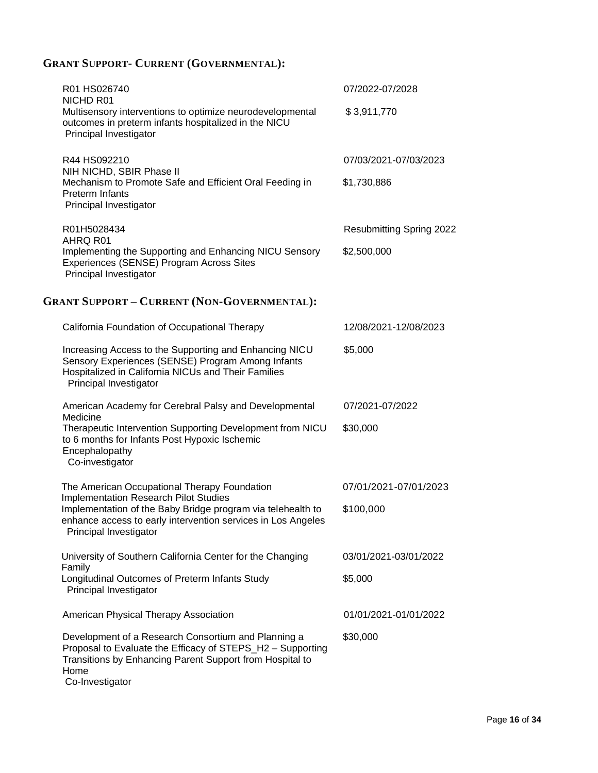# **GRANT SUPPORT- CURRENT (GOVERNMENTAL):**

| R01 HS026740                                                                                                                                                                                             | 07/2022-07/2028          |
|----------------------------------------------------------------------------------------------------------------------------------------------------------------------------------------------------------|--------------------------|
| NICHD R01<br>Multisensory interventions to optimize neurodevelopmental<br>outcomes in preterm infants hospitalized in the NICU<br>Principal Investigator                                                 | \$3,911,770              |
| R44 HS092210<br>NIH NICHD, SBIR Phase II                                                                                                                                                                 | 07/03/2021-07/03/2023    |
| Mechanism to Promote Safe and Efficient Oral Feeding in<br><b>Preterm Infants</b><br>Principal Investigator                                                                                              | \$1,730,886              |
| R01H5028434<br>AHRQ R01                                                                                                                                                                                  | Resubmitting Spring 2022 |
| Implementing the Supporting and Enhancing NICU Sensory<br>Experiences (SENSE) Program Across Sites<br>Principal Investigator                                                                             | \$2,500,000              |
| <b>GRANT SUPPORT - CURRENT (NON-GOVERNMENTAL):</b>                                                                                                                                                       |                          |
| California Foundation of Occupational Therapy                                                                                                                                                            | 12/08/2021-12/08/2023    |
| Increasing Access to the Supporting and Enhancing NICU<br>Sensory Experiences (SENSE) Program Among Infants<br>Hospitalized in California NICUs and Their Families<br>Principal Investigator             | \$5,000                  |
| American Academy for Cerebral Palsy and Developmental                                                                                                                                                    | 07/2021-07/2022          |
| Medicine<br>Therapeutic Intervention Supporting Development from NICU<br>to 6 months for Infants Post Hypoxic Ischemic<br>Encephalopathy<br>Co-investigator                                              | \$30,000                 |
| The American Occupational Therapy Foundation                                                                                                                                                             | 07/01/2021-07/01/2023    |
| Implementation Research Pilot Studies<br>Implementation of the Baby Bridge program via telehealth to<br>enhance access to early intervention services in Los Angeles<br>Principal Investigator           | \$100,000                |
| University of Southern California Center for the Changing<br>Family                                                                                                                                      | 03/01/2021-03/01/2022    |
| Longitudinal Outcomes of Preterm Infants Study<br>Principal Investigator                                                                                                                                 | \$5,000                  |
| American Physical Therapy Association                                                                                                                                                                    | 01/01/2021-01/01/2022    |
| Development of a Research Consortium and Planning a<br>Proposal to Evaluate the Efficacy of STEPS_H2 - Supporting<br>Transitions by Enhancing Parent Support from Hospital to<br>Home<br>Co-Investigator | \$30,000                 |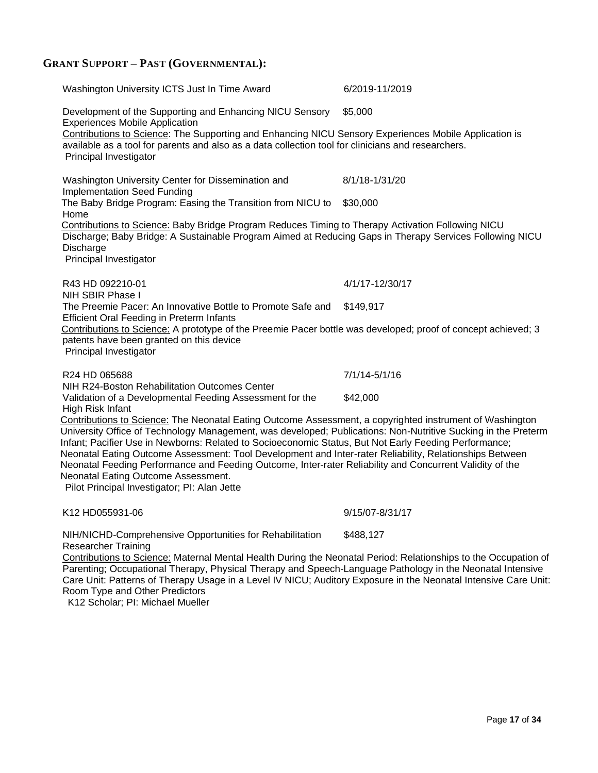# **GRANT SUPPORT – PAST (GOVERNMENTAL):**

| Washington University ICTS Just In Time Award                                                                                                                                                                                                                                                                                                                                                                                                                                                                                                                                                                                                    | 6/2019-11/2019  |
|--------------------------------------------------------------------------------------------------------------------------------------------------------------------------------------------------------------------------------------------------------------------------------------------------------------------------------------------------------------------------------------------------------------------------------------------------------------------------------------------------------------------------------------------------------------------------------------------------------------------------------------------------|-----------------|
| Development of the Supporting and Enhancing NICU Sensory<br><b>Experiences Mobile Application</b><br>Contributions to Science: The Supporting and Enhancing NICU Sensory Experiences Mobile Application is<br>available as a tool for parents and also as a data collection tool for clinicians and researchers.<br>Principal Investigator                                                                                                                                                                                                                                                                                                       | \$5,000         |
|                                                                                                                                                                                                                                                                                                                                                                                                                                                                                                                                                                                                                                                  |                 |
| Washington University Center for Dissemination and<br><b>Implementation Seed Funding</b>                                                                                                                                                                                                                                                                                                                                                                                                                                                                                                                                                         | 8/1/18-1/31/20  |
| The Baby Bridge Program: Easing the Transition from NICU to<br>Home                                                                                                                                                                                                                                                                                                                                                                                                                                                                                                                                                                              | \$30,000        |
| Contributions to Science: Baby Bridge Program Reduces Timing to Therapy Activation Following NICU<br>Discharge; Baby Bridge: A Sustainable Program Aimed at Reducing Gaps in Therapy Services Following NICU<br>Discharge<br>Principal Investigator                                                                                                                                                                                                                                                                                                                                                                                              |                 |
| R43 HD 092210-01<br>NIH SBIR Phase I                                                                                                                                                                                                                                                                                                                                                                                                                                                                                                                                                                                                             | 4/1/17-12/30/17 |
| The Preemie Pacer: An Innovative Bottle to Promote Safe and                                                                                                                                                                                                                                                                                                                                                                                                                                                                                                                                                                                      | \$149,917       |
| <b>Efficient Oral Feeding in Preterm Infants</b><br>Contributions to Science: A prototype of the Preemie Pacer bottle was developed; proof of concept achieved; 3<br>patents have been granted on this device<br>Principal Investigator                                                                                                                                                                                                                                                                                                                                                                                                          |                 |
| R24 HD 065688                                                                                                                                                                                                                                                                                                                                                                                                                                                                                                                                                                                                                                    | 7/1/14-5/1/16   |
| NIH R24-Boston Rehabilitation Outcomes Center                                                                                                                                                                                                                                                                                                                                                                                                                                                                                                                                                                                                    | \$42,000        |
| Validation of a Developmental Feeding Assessment for the<br>High Risk Infant                                                                                                                                                                                                                                                                                                                                                                                                                                                                                                                                                                     |                 |
| Contributions to Science: The Neonatal Eating Outcome Assessment, a copyrighted instrument of Washington<br>University Office of Technology Management, was developed; Publications: Non-Nutritive Sucking in the Preterm<br>Infant; Pacifier Use in Newborns: Related to Socioeconomic Status, But Not Early Feeding Performance;<br>Neonatal Eating Outcome Assessment: Tool Development and Inter-rater Reliability, Relationships Between<br>Neonatal Feeding Performance and Feeding Outcome, Inter-rater Reliability and Concurrent Validity of the<br>Neonatal Eating Outcome Assessment.<br>Pilot Principal Investigator; PI: Alan Jette |                 |
| K12 HD055931-06                                                                                                                                                                                                                                                                                                                                                                                                                                                                                                                                                                                                                                  | 9/15/07-8/31/17 |
| NIH/NICHD-Comprehensive Opportunities for Rehabilitation<br><b>Researcher Training</b>                                                                                                                                                                                                                                                                                                                                                                                                                                                                                                                                                           | \$488,127       |
| Contributions to Science: Maternal Mental Health During the Neonatal Period: Relationships to the Occupation of<br>Parenting; Occupational Therapy, Physical Therapy and Speech-Language Pathology in the Neonatal Intensive<br>Care Unit: Patterns of Therapy Usage in a Level IV NICU; Auditory Exposure in the Neonatal Intensive Care Unit:<br>Room Type and Other Predictors                                                                                                                                                                                                                                                                |                 |

K12 Scholar; PI: Michael Mueller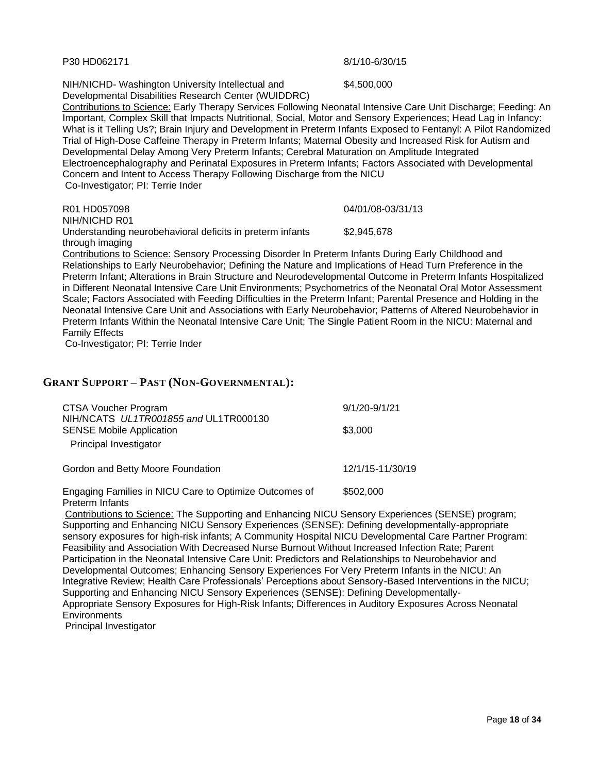Page **18** of **34**

P30 HD062171 8/1/10-6/30/15

NIH/NICHD- Washington University Intellectual and

Developmental Disabilities Research Center (WUIDDRC)

 Contributions to Science: Early Therapy Services Following Neonatal Intensive Care Unit Discharge; Feeding: An Important, Complex Skill that Impacts Nutritional, Social, Motor and Sensory Experiences; Head Lag in Infancy: What is it Telling Us?; Brain Injury and Development in Preterm Infants Exposed to Fentanyl: A Pilot Randomized Trial of High-Dose Caffeine Therapy in Preterm Infants; Maternal Obesity and Increased Risk for Autism and Developmental Delay Among Very Preterm Infants; Cerebral Maturation on Amplitude Integrated Electroencephalography and Perinatal Exposures in Preterm Infants; Factors Associated with Developmental Concern and Intent to Access Therapy Following Discharge from the NICU Co-Investigator; PI: Terrie Inder

R01 HD057098 NIH/NICHD R01 04/01/08-03/31/13 Understanding neurobehavioral deficits in preterm infants through imaging \$2,945,678 Contributions to Science: Sensory Processing Disorder In Preterm Infants During Early Childhood and

Relationships to Early Neurobehavior; Defining the Nature and Implications of Head Turn Preference in the Preterm Infant; Alterations in Brain Structure and Neurodevelopmental Outcome in Preterm Infants Hospitalized in Different Neonatal Intensive Care Unit Environments; Psychometrics of the Neonatal Oral Motor Assessment Scale; Factors Associated with Feeding Difficulties in the Preterm Infant; Parental Presence and Holding in the Neonatal Intensive Care Unit and Associations with Early Neurobehavior; Patterns of Altered Neurobehavior in Preterm Infants Within the Neonatal Intensive Care Unit; The Single Patient Room in the NICU: Maternal and Family Effects

Co-Investigator; PI: Terrie Inder

## **GRANT SUPPORT – PAST (NON-GOVERNMENTAL):**

| CTSA Voucher Program                                                                               | $9/1/20 - 9/1/21$ |
|----------------------------------------------------------------------------------------------------|-------------------|
| NIH/NCATS UL1TR001855 and UL1TR000130<br><b>SENSE Mobile Application</b><br>Principal Investigator | \$3,000           |
| Gordon and Betty Moore Foundation                                                                  | 12/1/15-11/30/19  |
| Engaging Families in NICU Care to Optimize Outcomes of                                             | \$502,000         |

Preterm Infants Contributions to Science: The Supporting and Enhancing NICU Sensory Experiences (SENSE) program; Supporting and Enhancing NICU Sensory Experiences (SENSE): Defining developmentally-appropriate sensory exposures for high-risk infants; A Community Hospital NICU Developmental Care Partner Program: Feasibility and Association With Decreased Nurse Burnout Without Increased Infection Rate; Parent Participation in the Neonatal Intensive Care Unit: Predictors and Relationships to Neurobehavior and Developmental Outcomes; Enhancing Sensory Experiences For Very Preterm Infants in the NICU: An Integrative Review; Health Care Professionals' Perceptions about Sensory-Based Interventions in the NICU; Supporting and Enhancing NICU Sensory Experiences (SENSE): Defining Developmentally-Appropriate Sensory Exposures for High-Risk Infants; Differences in Auditory Exposures Across Neonatal **Environments** 

Principal Investigator

\$4,500,000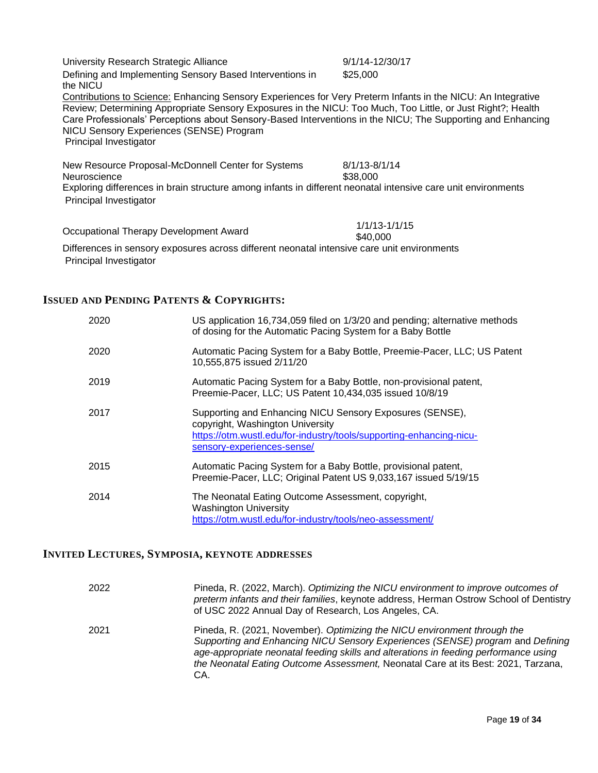University Research Strategic Alliance **9/1/14-12/30/17** Defining and Implementing Sensory Based Interventions in the NICU \$25,000 Contributions to Science: Enhancing Sensory Experiences for Very Preterm Infants in the NICU: An Integrative Review; Determining Appropriate Sensory Exposures in the NICU: Too Much, Too Little, or Just Right?; Health Care Professionals' Perceptions about Sensory-Based Interventions in the NICU; The Supporting and Enhancing NICU Sensory Experiences (SENSE) Program Principal Investigator New Resource Proposal-McDonnell Center for Systems Neuroscience 8/1/13-8/1/14 \$38,000

 Exploring differences in brain structure among infants in different neonatal intensive care unit environments Principal Investigator

\$40,000

Occupational Therapy Development Award 1/1/13-1/1/15

 Differences in sensory exposures across different neonatal intensive care unit environments Principal Investigator

## **ISSUED AND PENDING PATENTS & COPYRIGHTS:**

| 2020 | US application 16,734,059 filed on 1/3/20 and pending; alternative methods<br>of dosing for the Automatic Pacing System for a Baby Bottle                                                         |
|------|---------------------------------------------------------------------------------------------------------------------------------------------------------------------------------------------------|
| 2020 | Automatic Pacing System for a Baby Bottle, Preemie-Pacer, LLC; US Patent<br>10,555,875 issued 2/11/20                                                                                             |
| 2019 | Automatic Pacing System for a Baby Bottle, non-provisional patent,<br>Preemie-Pacer, LLC; US Patent 10,434,035 issued 10/8/19                                                                     |
| 2017 | Supporting and Enhancing NICU Sensory Exposures (SENSE),<br>copyright, Washington University<br>https://otm.wustl.edu/for-industry/tools/supporting-enhancing-nicu-<br>sensory-experiences-sense/ |
| 2015 | Automatic Pacing System for a Baby Bottle, provisional patent,<br>Preemie-Pacer, LLC; Original Patent US 9,033,167 issued 5/19/15                                                                 |
| 2014 | The Neonatal Eating Outcome Assessment, copyright,<br><b>Washington University</b><br>https://otm.wustl.edu/for-industry/tools/neo-assessment/                                                    |

#### **INVITED LECTURES, SYMPOSIA, KEYNOTE ADDRESSES**

| 2022 | Pineda, R. (2022, March). Optimizing the NICU environment to improve outcomes of<br>preterm infants and their families, keynote address, Herman Ostrow School of Dentistry<br>of USC 2022 Annual Day of Research, Los Angeles, CA.                                                                                                             |
|------|------------------------------------------------------------------------------------------------------------------------------------------------------------------------------------------------------------------------------------------------------------------------------------------------------------------------------------------------|
| 2021 | Pineda, R. (2021, November). Optimizing the NICU environment through the<br>Supporting and Enhancing NICU Sensory Experiences (SENSE) program and Defining<br>age-appropriate neonatal feeding skills and alterations in feeding performance using<br>the Neonatal Eating Outcome Assessment, Neonatal Care at its Best: 2021, Tarzana,<br>CA. |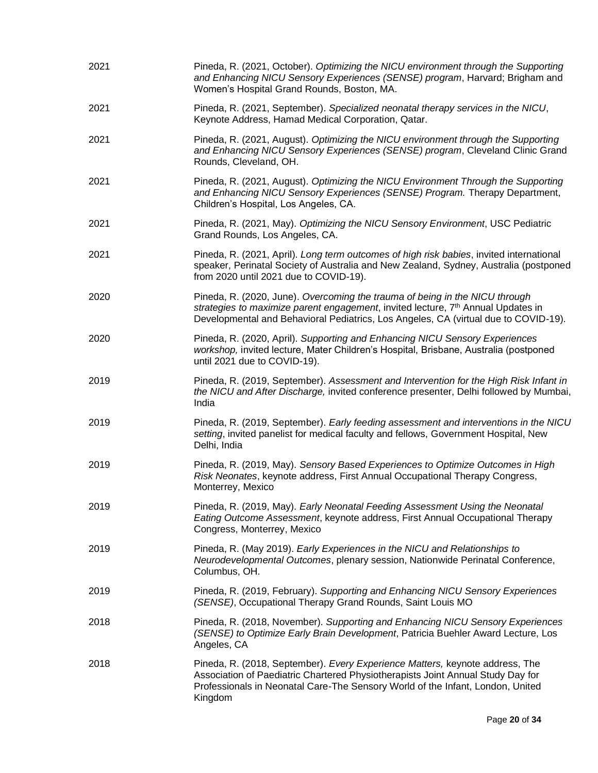| 2021 | Pineda, R. (2021, October). Optimizing the NICU environment through the Supporting<br>and Enhancing NICU Sensory Experiences (SENSE) program, Harvard; Brigham and<br>Women's Hospital Grand Rounds, Boston, MA.                                                   |
|------|--------------------------------------------------------------------------------------------------------------------------------------------------------------------------------------------------------------------------------------------------------------------|
| 2021 | Pineda, R. (2021, September). Specialized neonatal therapy services in the NICU,<br>Keynote Address, Hamad Medical Corporation, Qatar.                                                                                                                             |
| 2021 | Pineda, R. (2021, August). Optimizing the NICU environment through the Supporting<br>and Enhancing NICU Sensory Experiences (SENSE) program, Cleveland Clinic Grand<br>Rounds, Cleveland, OH.                                                                      |
| 2021 | Pineda, R. (2021, August). Optimizing the NICU Environment Through the Supporting<br>and Enhancing NICU Sensory Experiences (SENSE) Program. Therapy Department,<br>Children's Hospital, Los Angeles, CA.                                                          |
| 2021 | Pineda, R. (2021, May). Optimizing the NICU Sensory Environment, USC Pediatric<br>Grand Rounds, Los Angeles, CA.                                                                                                                                                   |
| 2021 | Pineda, R. (2021, April). Long term outcomes of high risk babies, invited international<br>speaker, Perinatal Society of Australia and New Zealand, Sydney, Australia (postponed<br>from 2020 until 2021 due to COVID-19).                                         |
| 2020 | Pineda, R. (2020, June). Overcoming the trauma of being in the NICU through<br>strategies to maximize parent engagement, invited lecture, 7 <sup>th</sup> Annual Updates in<br>Developmental and Behavioral Pediatrics, Los Angeles, CA (virtual due to COVID-19). |
| 2020 | Pineda, R. (2020, April). Supporting and Enhancing NICU Sensory Experiences<br>workshop, invited lecture, Mater Children's Hospital, Brisbane, Australia (postponed<br>until 2021 due to COVID-19).                                                                |
| 2019 | Pineda, R. (2019, September). Assessment and Intervention for the High Risk Infant in<br>the NICU and After Discharge, invited conference presenter, Delhi followed by Mumbai,<br>India                                                                            |
| 2019 | Pineda, R. (2019, September). Early feeding assessment and interventions in the NICU<br>setting, invited panelist for medical faculty and fellows, Government Hospital, New<br>Delhi, India                                                                        |
| 2019 | Pineda, R. (2019, May). Sensory Based Experiences to Optimize Outcomes in High<br>Risk Neonates, keynote address, First Annual Occupational Therapy Congress,<br>Monterrey, Mexico                                                                                 |
| 2019 | Pineda, R. (2019, May). Early Neonatal Feeding Assessment Using the Neonatal<br>Eating Outcome Assessment, keynote address, First Annual Occupational Therapy<br>Congress, Monterrey, Mexico                                                                       |
| 2019 | Pineda, R. (May 2019). Early Experiences in the NICU and Relationships to<br>Neurodevelopmental Outcomes, plenary session, Nationwide Perinatal Conference,<br>Columbus, OH.                                                                                       |
| 2019 | Pineda, R. (2019, February). Supporting and Enhancing NICU Sensory Experiences<br>(SENSE), Occupational Therapy Grand Rounds, Saint Louis MO                                                                                                                       |
| 2018 | Pineda, R. (2018, November). Supporting and Enhancing NICU Sensory Experiences<br>(SENSE) to Optimize Early Brain Development, Patricia Buehler Award Lecture, Los<br>Angeles, CA                                                                                  |
| 2018 | Pineda, R. (2018, September). Every Experience Matters, keynote address, The<br>Association of Paediatric Chartered Physiotherapists Joint Annual Study Day for<br>Professionals in Neonatal Care-The Sensory World of the Infant, London, United<br>Kingdom       |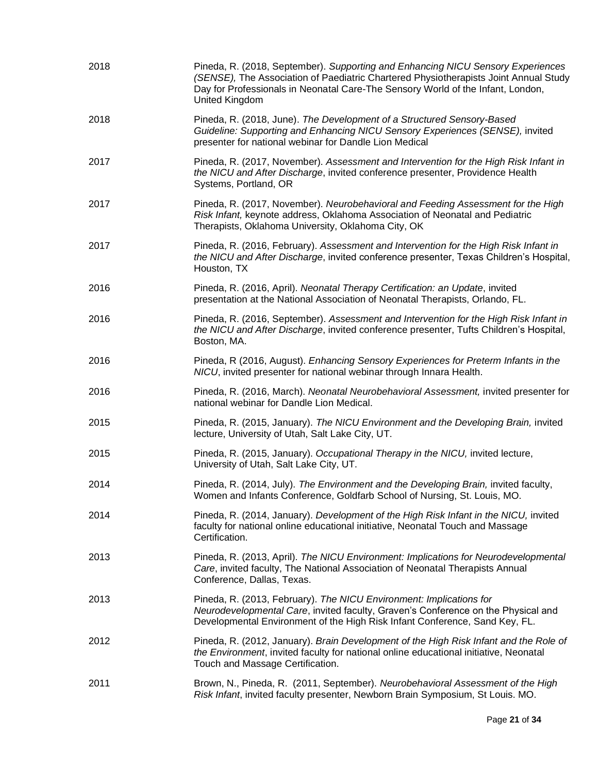| 2018 | Pineda, R. (2018, September). Supporting and Enhancing NICU Sensory Experiences<br>(SENSE), The Association of Paediatric Chartered Physiotherapists Joint Annual Study<br>Day for Professionals in Neonatal Care-The Sensory World of the Infant, London,<br>United Kingdom |
|------|------------------------------------------------------------------------------------------------------------------------------------------------------------------------------------------------------------------------------------------------------------------------------|
| 2018 | Pineda, R. (2018, June). The Development of a Structured Sensory-Based<br>Guideline: Supporting and Enhancing NICU Sensory Experiences (SENSE), invited<br>presenter for national webinar for Dandle Lion Medical                                                            |
| 2017 | Pineda, R. (2017, November). Assessment and Intervention for the High Risk Infant in<br>the NICU and After Discharge, invited conference presenter, Providence Health<br>Systems, Portland, OR                                                                               |
| 2017 | Pineda, R. (2017, November). Neurobehavioral and Feeding Assessment for the High<br>Risk Infant, keynote address, Oklahoma Association of Neonatal and Pediatric<br>Therapists, Oklahoma University, Oklahoma City, OK                                                       |
| 2017 | Pineda, R. (2016, February). Assessment and Intervention for the High Risk Infant in<br>the NICU and After Discharge, invited conference presenter, Texas Children's Hospital,<br>Houston, TX                                                                                |
| 2016 | Pineda, R. (2016, April). Neonatal Therapy Certification: an Update, invited<br>presentation at the National Association of Neonatal Therapists, Orlando, FL.                                                                                                                |
| 2016 | Pineda, R. (2016, September). Assessment and Intervention for the High Risk Infant in<br>the NICU and After Discharge, invited conference presenter, Tufts Children's Hospital,<br>Boston, MA.                                                                               |
| 2016 | Pineda, R (2016, August). Enhancing Sensory Experiences for Preterm Infants in the<br>NICU, invited presenter for national webinar through Innara Health.                                                                                                                    |
| 2016 | Pineda, R. (2016, March). Neonatal Neurobehavioral Assessment, invited presenter for<br>national webinar for Dandle Lion Medical.                                                                                                                                            |
| 2015 | Pineda, R. (2015, January). The NICU Environment and the Developing Brain, invited<br>lecture, University of Utah, Salt Lake City, UT.                                                                                                                                       |
| 2015 | Pineda, R. (2015, January). Occupational Therapy in the NICU, invited lecture,<br>University of Utah, Salt Lake City, UT.                                                                                                                                                    |
| 2014 | Pineda, R. (2014, July). The Environment and the Developing Brain, invited faculty,<br>Women and Infants Conference, Goldfarb School of Nursing, St. Louis, MO.                                                                                                              |
| 2014 | Pineda, R. (2014, January). Development of the High Risk Infant in the NICU, invited<br>faculty for national online educational initiative, Neonatal Touch and Massage<br>Certification.                                                                                     |
| 2013 | Pineda, R. (2013, April). The NICU Environment: Implications for Neurodevelopmental<br>Care, invited faculty, The National Association of Neonatal Therapists Annual<br>Conference, Dallas, Texas.                                                                           |
| 2013 | Pineda, R. (2013, February). The NICU Environment: Implications for<br>Neurodevelopmental Care, invited faculty, Graven's Conference on the Physical and<br>Developmental Environment of the High Risk Infant Conference, Sand Key, FL.                                      |
| 2012 | Pineda, R. (2012, January). Brain Development of the High Risk Infant and the Role of<br>the Environment, invited faculty for national online educational initiative, Neonatal<br>Touch and Massage Certification.                                                           |
| 2011 | Brown, N., Pineda, R. (2011, September). Neurobehavioral Assessment of the High<br>Risk Infant, invited faculty presenter, Newborn Brain Symposium, St Louis. MO.                                                                                                            |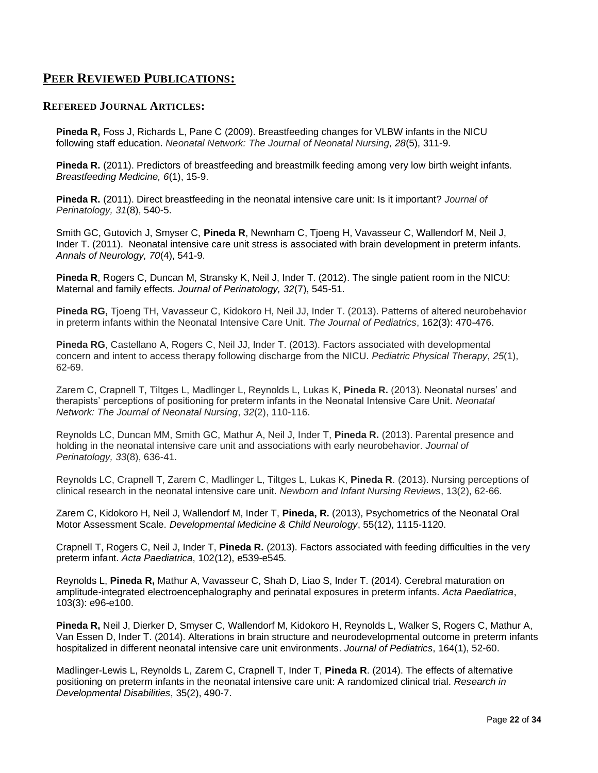## **PEER REVIEWED PUBLICATIONS:**

#### **REFEREED JOURNAL ARTICLES:**

**Pineda R,** Foss J, Richards L, Pane C (2009). Breastfeeding changes for VLBW infants in the NICU following staff education. *Neonatal Network: The Journal of Neonatal Nursing, 28*(5), 311-9.

**Pineda R.** (2011). Predictors of breastfeeding and breastmilk feeding among very low birth weight infants*. Breastfeeding Medicine, 6*(1), 15-9.

**Pineda R.** (2011). Direct breastfeeding in the neonatal intensive care unit: Is it important? *Journal of Perinatology, 31*(8), 540-5.

Smith GC, Gutovich J, Smyser C, **Pineda R**, Newnham C, Tjoeng H, Vavasseur C, Wallendorf M, Neil J, Inder T. (2011). Neonatal intensive care unit stress is associated with brain development in preterm infants. *Annals of Neurology, 70*(4), 541-9.

**Pineda R**, Rogers C, Duncan M, Stransky K, Neil J, Inder T. (2012). The single patient room in the NICU: Maternal and family effects. *Journal of Perinatology, 32*(7), 545-51.

**Pineda RG,** Tjoeng TH, Vavasseur C, Kidokoro H, Neil JJ, Inder T. (2013). Patterns of altered neurobehavior in preterm infants within the Neonatal Intensive Care Unit. *The Journal of Pediatrics*, 162(3): 470-476.

**Pineda RG**, Castellano A, Rogers C, Neil JJ, Inder T, (2013). Factors associated with developmental concern and intent to access therapy following discharge from the NICU. *Pediatric Physical Therapy*, *25*(1), 62-69.

Zarem C, Crapnell T, Tiltges L, Madlinger L, Reynolds L, Lukas K, **Pineda R.** (2013). Neonatal nurses' and therapists' perceptions of positioning for preterm infants in the Neonatal Intensive Care Unit. *Neonatal Network: The Journal of Neonatal Nursing*, *32*(2), 110-116.

Reynolds LC, Duncan MM, Smith GC, Mathur A, Neil J, Inder T, **Pineda R.** (2013). Parental presence and holding in the neonatal intensive care unit and associations with early neurobehavior. *Journal of Perinatology, 33*(8), 636-41.

Reynolds LC, Crapnell T, Zarem C, Madlinger L, Tiltges L, Lukas K, **Pineda R**. (2013). Nursing perceptions of clinical research in the neonatal intensive care unit. *Newborn and Infant Nursing Reviews*, 13(2), 62-66.

Zarem C, Kidokoro H, Neil J, Wallendorf M, Inder T, **Pineda, R.** (2013), Psychometrics of the Neonatal Oral Motor Assessment Scale. *Developmental Medicine & Child Neurology*, 55(12), 1115-1120.

Crapnell T, Rogers C, Neil J, Inder T, **Pineda R.** (2013). Factors associated with feeding difficulties in the very preterm infant. *Acta Paediatrica*, 102(12), e539-e545*.*

Reynolds L, **Pineda R,** Mathur A, Vavasseur C, Shah D, Liao S, Inder T. (2014). Cerebral maturation on amplitude-integrated electroencephalography and perinatal exposures in preterm infants. *Acta Paediatrica*, 103(3): e96-e100.

**Pineda R,** Neil J, Dierker D, Smyser C, Wallendorf M, Kidokoro H, Reynolds L, Walker S, Rogers C, Mathur A, Van Essen D, Inder T. (2014). Alterations in brain structure and neurodevelopmental outcome in preterm infants hospitalized in different neonatal intensive care unit environments. *Journal of Pediatrics*, 164(1), 52-60.

Madlinger-Lewis L, Reynolds L, Zarem C, Crapnell T, Inder T, **Pineda R**. (2014). The effects of alternative positioning on preterm infants in the neonatal intensive care unit: A randomized clinical trial. *Research in Developmental Disabilities*, 35(2), 490-7.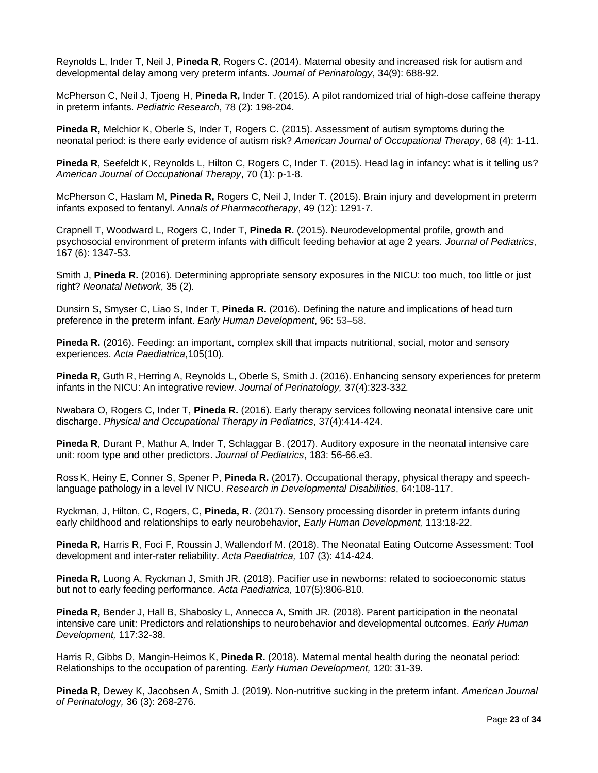Reynolds L, Inder T, Neil J, **Pineda R**, Rogers C. (2014). Maternal obesity and increased risk for autism and developmental delay among very preterm infants. *Journal of Perinatology*, 34(9): 688-92.

McPherson C, Neil J, Tjoeng H, **Pineda R,** Inder T. (2015). A pilot randomized trial of high-dose caffeine therapy in preterm infants. *Pediatric Research*, 78 (2): 198-204.

**Pineda R,** Melchior K, Oberle S, Inder T, Rogers C. (2015). Assessment of autism symptoms during the neonatal period: is there early evidence of autism risk? *American Journal of Occupational Therapy*, 68 (4): 1-11.

**Pineda R**, Seefeldt K, Reynolds L, Hilton C, Rogers C, Inder T. (2015). Head lag in infancy: what is it telling us? *American Journal of Occupational Therapy*, 70 (1): p-1-8.

McPherson C, Haslam M, **Pineda R,** Rogers C, Neil J, Inder T. (2015). Brain injury and development in preterm infants exposed to fentanyl. *Annals of Pharmacotherapy*, 49 (12): 1291-7.

Crapnell T, Woodward L, Rogers C, Inder T, **Pineda R.** (2015). Neurodevelopmental profile, growth and psychosocial environment of preterm infants with difficult feeding behavior at age 2 years. *Journal of Pediatrics*, 167 (6): 1347-53.

Smith J, **Pineda R.** (2016). Determining appropriate sensory exposures in the NICU: too much, too little or just right? *Neonatal Network*, 35 (2)*.*

Dunsirn S, Smyser C, Liao S, Inder T, **Pineda R.** (2016). Defining the nature and implications of head turn preference in the preterm infant. *Early Human Development*, [96:](http://www.sciencedirect.com/science/journal/03783782/96/supp/C) 53–58.

**Pineda R.** (2016). [Feeding: an important, complex skill that impacts nutritional, social, motor and sensory](https://www.ncbi.nlm.nih.gov/pubmed/27460993)  [experiences.](https://www.ncbi.nlm.nih.gov/pubmed/27460993) *Acta Paediatrica*,105(10).

**Pineda R,** Guth R, Herring A, Reynolds L, Oberle S, Smith J. (2016). Enhancing sensory experiences for preterm infants in the NICU: An integrative review. *Journal of Perinatology,* 37(4):323-332*.*

Nwabara O, Rogers C, Inder T, **Pineda R.** (2016). Early therapy services following neonatal intensive care unit discharge. *Physical and Occupational Therapy in Pediatrics*, 37(4):414-424.

**Pineda R**, Durant P, Mathur A, Inder T, Schlaggar B. (2017). Auditory exposure in the neonatal intensive care unit: room type and other predictors. *Journal of Pediatrics*, 183: 56-66.e3.

Ross K, Heiny E, Conner S, Spener P, **Pineda R.** (2017). Occupational therapy, physical therapy and speechlanguage pathology in a level IV NICU. *Research in Developmental Disabilities*, 64:108-117.

Ryckman, J, Hilton, C, Rogers, C, **Pineda, R**. (2017). Sensory processing disorder in preterm infants during early childhood and relationships to early neurobehavior, *Early Human Development,* 113:18-22.

**Pineda R,** Harris R, Foci F, Roussin J, Wallendorf M. (2018). The Neonatal Eating Outcome Assessment: Tool development and inter-rater reliability. *Acta Paediatrica,* 107 (3): 414-424.

**Pineda R,** Luong A, Ryckman J, Smith JR. (2018). Pacifier use in newborns: related to socioeconomic status but not to early feeding performance. *Acta Paediatrica*, 107(5):806-810.

**Pineda R,** Bender J, Hall B, Shabosky L, Annecca A, Smith JR. (2018). Parent participation in the neonatal intensive care unit: Predictors and relationships to neurobehavior and developmental outcomes. *Early Human Development,* 117:32-38.

Harris R, Gibbs D, Mangin-Heimos K, **Pineda R.** (2018). Maternal mental health during the neonatal period: Relationships to the occupation of parenting. *Early Human Development,* 120: 31-39.

**Pineda R,** Dewey K, Jacobsen A, Smith J. (2019). Non-nutritive sucking in the preterm infant. *American Journal of Perinatology,* 36 (3): 268-276.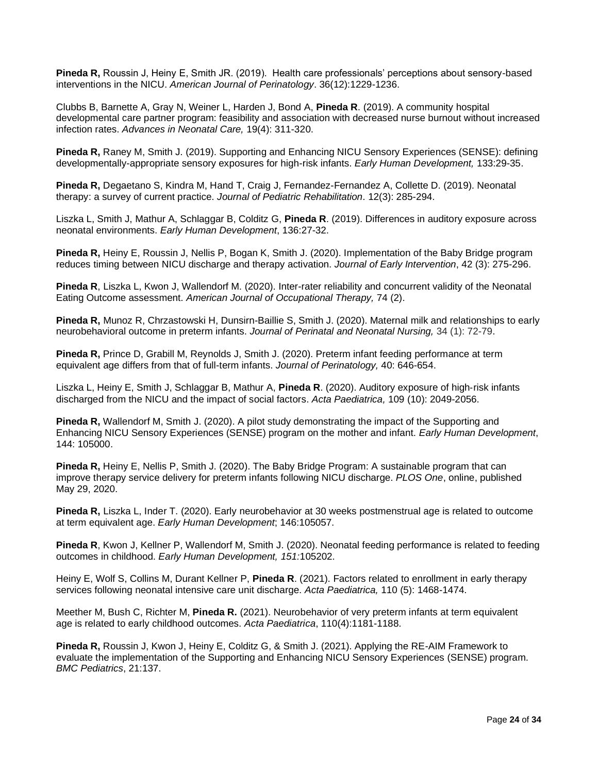**Pineda R,** Roussin J, Heiny E, Smith JR. (2019). Health care professionals' perceptions about sensory-based interventions in the NICU. *American Journal of Perinatology*. 36(12):1229-1236.

Clubbs B, Barnette A, Gray N, Weiner L, Harden J, Bond A, **Pineda R**. (2019). A community hospital developmental care partner program: feasibility and association with decreased nurse burnout without increased infection rates. *Advances in Neonatal Care,* 19(4): 311-320.

**Pineda R,** Raney M, Smith J. (2019). Supporting and Enhancing NICU Sensory Experiences (SENSE): defining developmentally-appropriate sensory exposures for high-risk infants. *Early Human Development,* 133:29-35.

**Pineda R,** Degaetano S, Kindra M, Hand T, Craig J, Fernandez-Fernandez A, Collette D. (2019). Neonatal therapy: a survey of current practice. *Journal of Pediatric Rehabilitation*. 12(3): 285-294.

Liszka L, Smith J, Mathur A, Schlaggar B, Colditz G, **Pineda R**. (2019). Differences in auditory exposure across neonatal environments. *Early Human Development*, 136:27-32.

**Pineda R,** Heiny E, Roussin J, Nellis P, Bogan K, Smith J. (2020). Implementation of the Baby Bridge program reduces timing between NICU discharge and therapy activation. *Journal of Early Intervention*, 42 (3): 275-296.

**Pineda R**, Liszka L, Kwon J, Wallendorf M. (2020). Inter-rater reliability and concurrent validity of the Neonatal Eating Outcome assessment. *American Journal of Occupational Therapy,* 74 (2).

**Pineda R,** Munoz R, Chrzastowski H, Dunsirn-Baillie S, Smith J. (2020). Maternal milk and relationships to early neurobehavioral outcome in preterm infants. *Journal of Perinatal and Neonatal Nursing,* 34 (1): 72-79.

**Pineda R,** Prince D, Grabill M, Reynolds J, Smith J. (2020). Preterm infant feeding performance at term equivalent age differs from that of full-term infants. *Journal of Perinatology,* 40: 646-654.

Liszka L, Heiny E, Smith J, Schlaggar B, Mathur A, **Pineda R**. (2020). Auditory exposure of high‐risk infants discharged from the NICU and the impact of social factors. *Acta Paediatrica,* 109 (10): 2049-2056.

**Pineda R,** Wallendorf M, Smith J. (2020). A pilot study demonstrating the impact of the Supporting and Enhancing NICU Sensory Experiences (SENSE) program on the mother and infant. *Early Human Development*, 144: 105000.

**Pineda R,** Heiny E, Nellis P, Smith J. (2020). The Baby Bridge Program: A sustainable program that can improve therapy service delivery for preterm infants following NICU discharge. *PLOS One*, online, published May 29, 2020.

**Pineda R,** Liszka L, Inder T. (2020). Early neurobehavior at 30 weeks postmenstrual age is related to outcome at term equivalent age. *Early Human Development*; 146:105057.

**Pineda R**, Kwon J, Kellner P, Wallendorf M, Smith J. (2020). Neonatal feeding performance is related to feeding outcomes in childhood. *Early Human Development, 151:*105202.

Heiny E, Wolf S, Collins M, Durant Kellner P, **Pineda R**. (2021). Factors related to enrollment in early therapy services following neonatal intensive care unit discharge. *Acta Paediatrica,* 110 (5): 1468-1474.

Meether M, Bush C, Richter M, **Pineda R.** (2021). Neurobehavior of very preterm infants at term equivalent age is related to early childhood outcomes. *Acta Paediatrica*, 110(4):1181-1188.

**Pineda R,** Roussin J, Kwon J, Heiny E, Colditz G, & Smith J. (2021). Applying the RE-AIM Framework to evaluate the implementation of the Supporting and Enhancing NICU Sensory Experiences (SENSE) program. *BMC Pediatrics*, 21:137.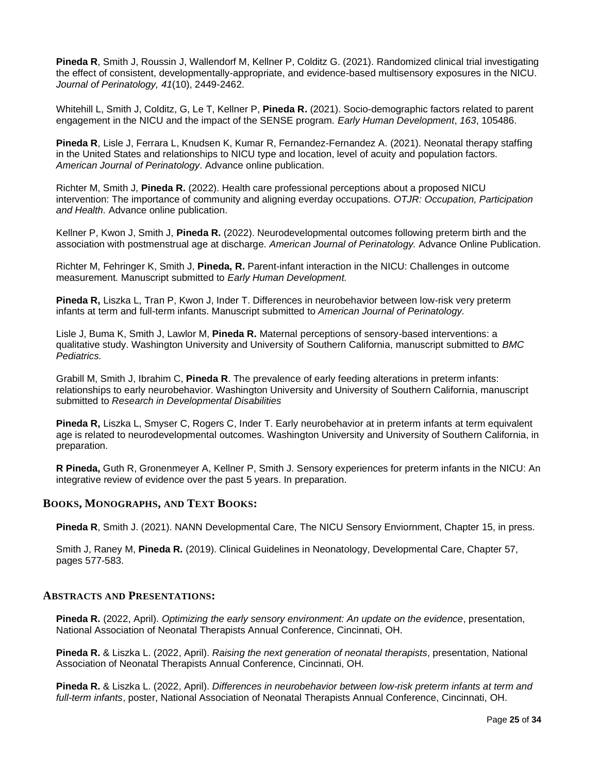**Pineda R**, Smith J, Roussin J, Wallendorf M, Kellner P, Colditz G. (2021). Randomized clinical trial investigating the effect of consistent, developmentally-appropriate, and evidence-based multisensory exposures in the NICU. *Journal of Perinatology, 41*(10), 2449-2462.

Whitehill L, Smith J, Colditz, G, Le T, Kellner P, **Pineda R.** (2021). Socio-demographic factors related to parent engagement in the NICU and the impact of the SENSE program. *Early Human Development*, *163*, 105486.

**Pineda R**, Lisle J, Ferrara L, Knudsen K, Kumar R, Fernandez-Fernandez A. (2021). Neonatal therapy staffing in the United States and relationships to NICU type and location, level of acuity and population factors. *American Journal of Perinatology*. Advance online publication.

Richter M, Smith J, **Pineda R.** (2022). Health care professional perceptions about a proposed NICU intervention: The importance of community and aligning everday occupations. *OTJR: Occupation, Participation and Health.* Advance online publication.

Kellner P, Kwon J, Smith J, **Pineda R.** (2022). Neurodevelopmental outcomes following preterm birth and the association with postmenstrual age at discharge. *American Journal of Perinatology.* Advance Online Publication.

Richter M, Fehringer K, Smith J, **Pineda, R.** Parent-infant interaction in the NICU: Challenges in outcome measurement*.* Manuscript submitted to *Early Human Development.*

**Pineda R,** Liszka L, Tran P, Kwon J, Inder T. Differences in neurobehavior between low-risk very preterm infants at term and full-term infants. Manuscript submitted to *American Journal of Perinatology.*

Lisle J, Buma K, Smith J, Lawlor M, **Pineda R.** Maternal perceptions of sensory-based interventions: a qualitative study. Washington University and University of Southern California, manuscript submitted to *BMC Pediatrics.*

Grabill M, Smith J, Ibrahim C, **Pineda R**. The prevalence of early feeding alterations in preterm infants: relationships to early neurobehavior. Washington University and University of Southern California, manuscript submitted to *Research in Developmental Disabilities* 

**Pineda R,** Liszka L, Smyser C, Rogers C, Inder T. Early neurobehavior at in preterm infants at term equivalent age is related to neurodevelopmental outcomes. Washington University and University of Southern California, in preparation.

**R Pineda,** Guth R, Gronenmeyer A, Kellner P, Smith J. Sensory experiences for preterm infants in the NICU: An integrative review of evidence over the past 5 years. In preparation.

#### **BOOKS, MONOGRAPHS, AND TEXT BOOKS:**

**Pineda R**, Smith J. (2021). NANN Developmental Care, The NICU Sensory Enviornment, Chapter 15, in press.

Smith J, Raney M, **Pineda R.** (2019). Clinical Guidelines in Neonatology, Developmental Care, Chapter 57, pages 577-583.

#### **ABSTRACTS AND PRESENTATIONS:**

**Pineda R.** (2022, April). *Optimizing the early sensory environment: An update on the evidence*, presentation, National Association of Neonatal Therapists Annual Conference, Cincinnati, OH.

**Pineda R.** & Liszka L. (2022, April). *Raising the next generation of neonatal therapists*, presentation, National Association of Neonatal Therapists Annual Conference, Cincinnati, OH.

**Pineda R.** & Liszka L. (2022, April). *Differences in neurobehavior between low-risk preterm infants at term and full-term infants*, poster, National Association of Neonatal Therapists Annual Conference, Cincinnati, OH.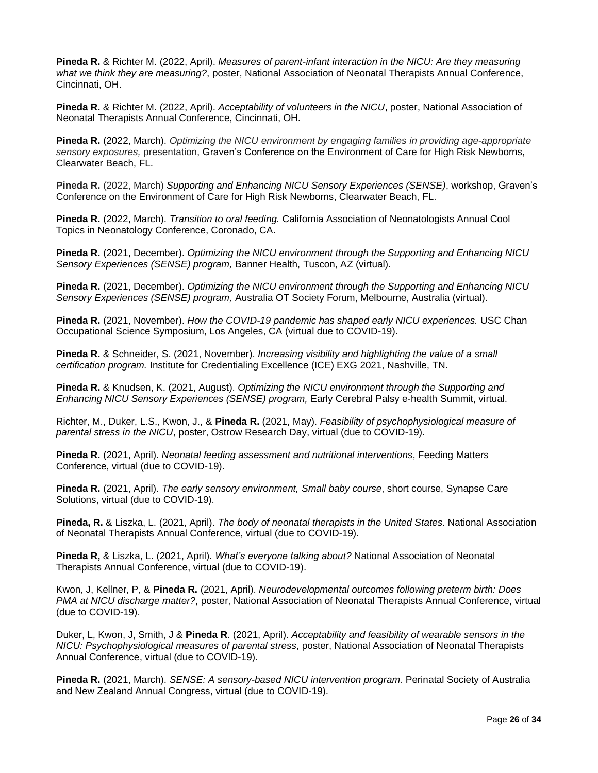**Pineda R.** & Richter M. (2022, April). *Measures of parent-infant interaction in the NICU: Are they measuring what we think they are measuring?*, poster, National Association of Neonatal Therapists Annual Conference, Cincinnati, OH.

**Pineda R.** & Richter M. (2022, April). *Acceptability of volunteers in the NICU*, poster, National Association of Neonatal Therapists Annual Conference, Cincinnati, OH.

**Pineda R.** (2022, March). *Optimizing the NICU environment by engaging families in providing age-appropriate sensory exposures,* presentation, Graven's Conference on the Environment of Care for High Risk Newborns, Clearwater Beach, FL.

**Pineda R.** (2022, March) *Supporting and Enhancing NICU Sensory Experiences (SENSE)*, workshop, Graven's Conference on the Environment of Care for High Risk Newborns, Clearwater Beach, FL.

**Pineda R.** (2022, March). *Transition to oral feeding.* California Association of Neonatologists Annual Cool Topics in Neonatology Conference, Coronado, CA.

**Pineda R.** (2021, December). *Optimizing the NICU environment through the Supporting and Enhancing NICU Sensory Experiences (SENSE) program,* Banner Health, Tuscon, AZ (virtual).

**Pineda R.** (2021, December). *Optimizing the NICU environment through the Supporting and Enhancing NICU Sensory Experiences (SENSE) program,* Australia OT Society Forum, Melbourne, Australia (virtual).

**Pineda R.** (2021, November). *How the COVID-19 pandemic has shaped early NICU experiences.* USC Chan Occupational Science Symposium, Los Angeles, CA (virtual due to COVID-19).

**Pineda R.** & Schneider, S. (2021, November). *Increasing visibility and highlighting the value of a small certification program.* Institute for Credentialing Excellence (ICE) EXG 2021, Nashville, TN.

**Pineda R.** & Knudsen, K. (2021, August). *Optimizing the NICU environment through the Supporting and Enhancing NICU Sensory Experiences (SENSE) program,* Early Cerebral Palsy e-health Summit, virtual.

Richter, M., Duker, L.S., Kwon, J., & **Pineda R.** (2021, May). *Feasibility of psychophysiological measure of parental stress in the NICU*, poster, Ostrow Research Day, virtual (due to COVID-19).

**Pineda R.** (2021, April). *Neonatal feeding assessment and nutritional interventions*, Feeding Matters Conference, virtual (due to COVID-19).

**Pineda R.** (2021, April). *The early sensory environment, Small baby course*, short course, Synapse Care Solutions, virtual (due to COVID-19).

**Pineda, R.** & Liszka, L. (2021, April). *The body of neonatal therapists in the United States*. National Association of Neonatal Therapists Annual Conference, virtual (due to COVID-19).

**Pineda R,** & Liszka, L. (2021, April). *What's everyone talking about?* National Association of Neonatal Therapists Annual Conference, virtual (due to COVID-19).

Kwon, J, Kellner, P, & **Pineda R.** (2021, April). *Neurodevelopmental outcomes following preterm birth: Does PMA at NICU discharge matter?*, poster, National Association of Neonatal Therapists Annual Conference, virtual (due to COVID-19).

Duker, L, Kwon, J, Smith, J & **Pineda R**. (2021, April). *Acceptability and feasibility of wearable sensors in the NICU: Psychophysiological measures of parental stress*, poster, National Association of Neonatal Therapists Annual Conference, virtual (due to COVID-19).

**Pineda R.** (2021, March). *SENSE: A sensory-based NICU intervention program.* Perinatal Society of Australia and New Zealand Annual Congress, virtual (due to COVID-19).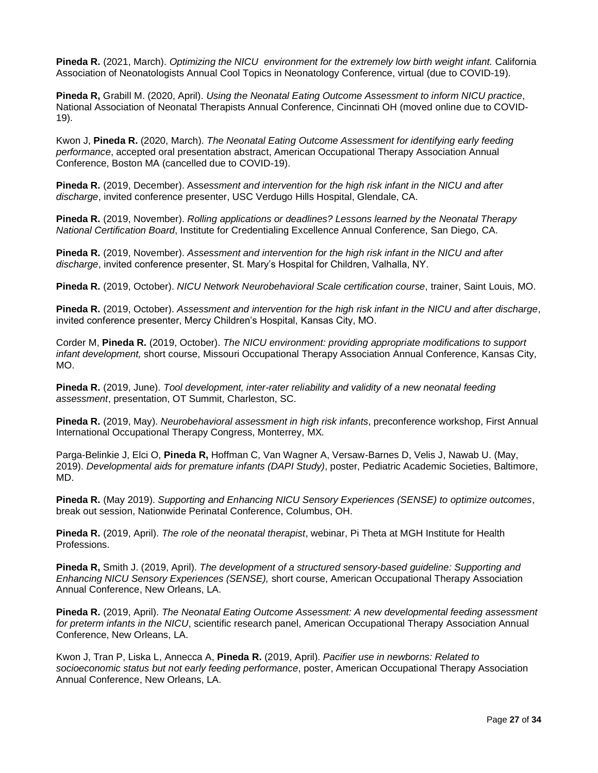**Pineda R.** (2021, March). *Optimizing the NICU environment for the extremely low birth weight infant.* California Association of Neonatologists Annual Cool Topics in Neonatology Conference, virtual (due to COVID-19).

**Pineda R,** Grabill M. (2020, April). *Using the Neonatal Eating Outcome Assessment to inform NICU practice*, National Association of Neonatal Therapists Annual Conference, Cincinnati OH (moved online due to COVID-19).

Kwon J, **Pineda R.** (2020, March). *The Neonatal Eating Outcome Assessment for identifying early feeding performance*, accepted oral presentation abstract, American Occupational Therapy Association Annual Conference, Boston MA (cancelled due to COVID-19).

**Pineda R.** (2019, December). Ass*essment and intervention for the high risk infant in the NICU and after discharge*, invited conference presenter, USC Verdugo Hills Hospital, Glendale, CA.

**Pineda R.** (2019, November). *Rolling applications or deadlines? Lessons learned by the Neonatal Therapy National Certification Board*, Institute for Credentialing Excellence Annual Conference, San Diego, CA.

**Pineda R.** (2019, November). *Assessment and intervention for the high risk infant in the NICU and after discharge*, invited conference presenter, St. Mary's Hospital for Children, Valhalla, NY.

**Pineda R.** (2019, October). *NICU Network Neurobehavioral Scale certification course*, trainer, Saint Louis, MO.

**Pineda R.** (2019, October). *Assessment and intervention for the high risk infant in the NICU and after discharge*, invited conference presenter, Mercy Children's Hospital, Kansas City, MO.

Corder M, **Pineda R.** (2019, October). *The NICU environment: providing appropriate modifications to support infant development,* short course, Missouri Occupational Therapy Association Annual Conference, Kansas City, MO.

**Pineda R.** (2019, June). *Tool development, inter-rater reliability and validity of a new neonatal feeding assessment*, presentation, OT Summit, Charleston, SC.

**Pineda R.** (2019, May). *Neurobehavioral assessment in high risk infants*, preconference workshop, First Annual International Occupational Therapy Congress, Monterrey, MX*.* 

Parga-Belinkie J, Elci O, **Pineda R,** Hoffman C, Van Wagner A, Versaw-Barnes D, Velis J, Nawab U. (May, 2019). *Developmental aids for premature infants (DAPI Study)*, poster, Pediatric Academic Societies, Baltimore, MD.

**Pineda R.** (May 2019). *Supporting and Enhancing NICU Sensory Experiences (SENSE) to optimize outcomes*, break out session, Nationwide Perinatal Conference, Columbus, OH.

**Pineda R.** (2019, April). *The role of the neonatal therapist*, webinar, Pi Theta at MGH Institute for Health Professions.

**Pineda R,** Smith J. (2019, April). *The development of a structured sensory-based guideline: Supporting and Enhancing NICU Sensory Experiences (SENSE),* short course, American Occupational Therapy Association Annual Conference, New Orleans, LA.

**Pineda R.** (2019, April). *The Neonatal Eating Outcome Assessment: A new developmental feeding assessment for preterm infants in the NICU*, scientific research panel, American Occupational Therapy Association Annual Conference, New Orleans, LA.

Kwon J, Tran P, Liska L, Annecca A, **Pineda R.** (2019, April). *Pacifier use in newborns: Related to socioeconomic status but not early feeding performance*, poster, American Occupational Therapy Association Annual Conference, New Orleans, LA.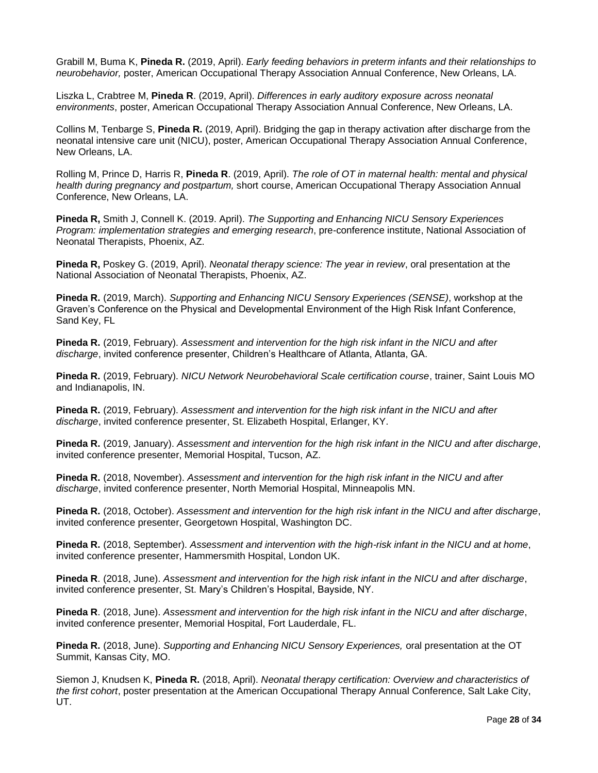Grabill M, Buma K, **Pineda R.** (2019, April). *Early feeding behaviors in preterm infants and their relationships to neurobehavior,* poster, American Occupational Therapy Association Annual Conference, New Orleans, LA.

Liszka L, Crabtree M, **Pineda R**. (2019, April). *Differences in early auditory exposure across neonatal environments*, poster, American Occupational Therapy Association Annual Conference, New Orleans, LA.

Collins M, Tenbarge S, **Pineda R.** (2019, April). Bridging the gap in therapy activation after discharge from the neonatal intensive care unit (NICU), poster, American Occupational Therapy Association Annual Conference, New Orleans, LA.

Rolling M, Prince D, Harris R, **Pineda R**. (2019, April). *The role of OT in maternal health: mental and physical health during pregnancy and postpartum,* short course, American Occupational Therapy Association Annual Conference, New Orleans, LA.

**Pineda R,** Smith J, Connell K. (2019. April). *The Supporting and Enhancing NICU Sensory Experiences Program: implementation strategies and emerging research*, pre-conference institute, National Association of Neonatal Therapists, Phoenix, AZ.

**Pineda R,** Poskey G. (2019, April). *Neonatal therapy science: The year in review*, oral presentation at the National Association of Neonatal Therapists, Phoenix, AZ.

**Pineda R.** (2019, March). *Supporting and Enhancing NICU Sensory Experiences (SENSE)*, workshop at the Graven's Conference on the Physical and Developmental Environment of the High Risk Infant Conference, Sand Key, FL

**Pineda R.** (2019, February). *Assessment and intervention for the high risk infant in the NICU and after discharge*, invited conference presenter, Children's Healthcare of Atlanta, Atlanta, GA.

**Pineda R.** (2019, February). *NICU Network Neurobehavioral Scale certification course*, trainer, Saint Louis MO and Indianapolis, IN.

**Pineda R.** (2019, February). *Assessment and intervention for the high risk infant in the NICU and after discharge*, invited conference presenter, St. Elizabeth Hospital, Erlanger, KY.

**Pineda R.** (2019, January). *Assessment and intervention for the high risk infant in the NICU and after discharge*, invited conference presenter, Memorial Hospital, Tucson, AZ.

**Pineda R.** (2018, November). *Assessment and intervention for the high risk infant in the NICU and after discharge*, invited conference presenter, North Memorial Hospital, Minneapolis MN.

**Pineda R.** (2018, October). *Assessment and intervention for the high risk infant in the NICU and after discharge*, invited conference presenter, Georgetown Hospital, Washington DC.

**Pineda R.** (2018, September). *Assessment and intervention with the high-risk infant in the NICU and at home*, invited conference presenter, Hammersmith Hospital, London UK.

**Pineda R**. (2018, June). *Assessment and intervention for the high risk infant in the NICU and after discharge*, invited conference presenter, St. Mary's Children's Hospital, Bayside, NY.

**Pineda R**. (2018, June). *Assessment and intervention for the high risk infant in the NICU and after discharge*, invited conference presenter, Memorial Hospital, Fort Lauderdale, FL.

**Pineda R.** (2018, June). *Supporting and Enhancing NICU Sensory Experiences,* oral presentation at the OT Summit, Kansas City, MO.

Siemon J, Knudsen K, **Pineda R.** (2018, April). *Neonatal therapy certification: Overview and characteristics of the first cohort*, poster presentation at the American Occupational Therapy Annual Conference, Salt Lake City, UT.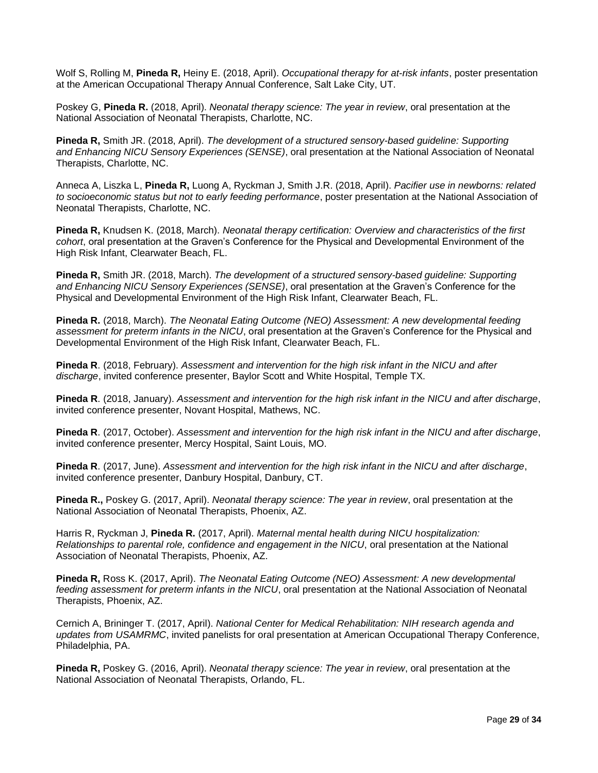Wolf S, Rolling M, **Pineda R,** Heiny E. (2018, April). *Occupational therapy for at-risk infants*, poster presentation at the American Occupational Therapy Annual Conference, Salt Lake City, UT.

Poskey G, **Pineda R.** (2018, April). *Neonatal therapy science: The year in review*, oral presentation at the National Association of Neonatal Therapists, Charlotte, NC.

**Pineda R,** Smith JR. (2018, April). *The development of a structured sensory-based guideline: Supporting and Enhancing NICU Sensory Experiences (SENSE)*, oral presentation at the National Association of Neonatal Therapists, Charlotte, NC.

Anneca A, Liszka L, **Pineda R,** Luong A, Ryckman J, Smith J.R. (2018, April). *Pacifier use in newborns: related to socioeconomic status but not to early feeding performance*, poster presentation at the National Association of Neonatal Therapists, Charlotte, NC.

**Pineda R,** Knudsen K. (2018, March). *Neonatal therapy certification: Overview and characteristics of the first cohort*, oral presentation at the Graven's Conference for the Physical and Developmental Environment of the High Risk Infant, Clearwater Beach, FL.

**Pineda R,** Smith JR. (2018, March). *The development of a structured sensory-based guideline: Supporting and Enhancing NICU Sensory Experiences (SENSE)*, oral presentation at the Graven's Conference for the Physical and Developmental Environment of the High Risk Infant, Clearwater Beach, FL.

**Pineda R.** (2018, March). *The Neonatal Eating Outcome (NEO) Assessment: A new developmental feeding assessment for preterm infants in the NICU*, oral presentation at the Graven's Conference for the Physical and Developmental Environment of the High Risk Infant, Clearwater Beach, FL.

**Pineda R**. (2018, February). *Assessment and intervention for the high risk infant in the NICU and after discharge*, invited conference presenter, Baylor Scott and White Hospital, Temple TX.

**Pineda R**. (2018, January). *Assessment and intervention for the high risk infant in the NICU and after discharge*, invited conference presenter, Novant Hospital, Mathews, NC.

**Pineda R**. (2017, October). *Assessment and intervention for the high risk infant in the NICU and after discharge*, invited conference presenter, Mercy Hospital, Saint Louis, MO.

**Pineda R**. (2017, June). *Assessment and intervention for the high risk infant in the NICU and after discharge*, invited conference presenter, Danbury Hospital, Danbury, CT.

**Pineda R.,** Poskey G. (2017, April). *Neonatal therapy science: The year in review*, oral presentation at the National Association of Neonatal Therapists, Phoenix, AZ.

Harris R, Ryckman J, **Pineda R.** (2017, April). *Maternal mental health during NICU hospitalization: Relationships to parental role, confidence and engagement in the NICU*, oral presentation at the National Association of Neonatal Therapists, Phoenix, AZ.

**Pineda R,** Ross K. (2017, April). *The Neonatal Eating Outcome (NEO) Assessment: A new developmental feeding assessment for preterm infants in the NICU*, oral presentation at the National Association of Neonatal Therapists, Phoenix, AZ.

Cernich A, Brininger T. (2017, April). *National Center for Medical Rehabilitation: NIH research agenda and updates from USAMRMC*, invited panelists for oral presentation at American Occupational Therapy Conference, Philadelphia, PA.

**Pineda R,** Poskey G. (2016, April). *Neonatal therapy science: The year in review*, oral presentation at the National Association of Neonatal Therapists, Orlando, FL.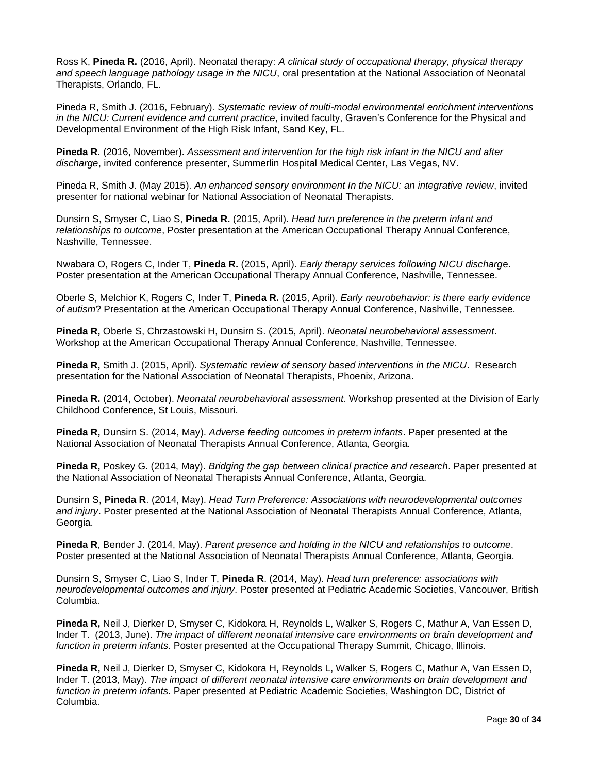Ross K, **Pineda R.** (2016, April). Neonatal therapy: *A clinical study of occupational therapy, physical therapy and speech language pathology usage in the NICU*, oral presentation at the National Association of Neonatal Therapists, Orlando, FL.

Pineda R, Smith J. (2016, February). *Systematic review of multi-modal environmental enrichment interventions in the NICU: Current evidence and current practice*, invited faculty, Graven's Conference for the Physical and Developmental Environment of the High Risk Infant, Sand Key, FL.

**Pineda R**. (2016, November). *Assessment and intervention for the high risk infant in the NICU and after discharge*, invited conference presenter, Summerlin Hospital Medical Center, Las Vegas, NV.

Pineda R, Smith J. (May 2015). *An enhanced sensory environment In the NICU: an integrative review*, invited presenter for national webinar for National Association of Neonatal Therapists.

Dunsirn S, Smyser C, Liao S, **Pineda R.** (2015, April). *Head turn preference in the preterm infant and relationships to outcome*, Poster presentation at the American Occupational Therapy Annual Conference, Nashville, Tennessee.

Nwabara O, Rogers C, Inder T, **Pineda R.** (2015, April). *Early therapy services following NICU discharg*e. Poster presentation at the American Occupational Therapy Annual Conference, Nashville, Tennessee.

Oberle S, Melchior K, Rogers C, Inder T, **Pineda R.** (2015, April). *Early neurobehavior: is there early evidence of autism*? Presentation at the American Occupational Therapy Annual Conference, Nashville, Tennessee.

**Pineda R,** Oberle S, Chrzastowski H, Dunsirn S. (2015, April). *Neonatal neurobehavioral assessment*. Workshop at the American Occupational Therapy Annual Conference, Nashville, Tennessee.

**Pineda R,** Smith J. (2015, April). *Systematic review of sensory based interventions in the NICU*. Research presentation for the National Association of Neonatal Therapists, Phoenix, Arizona.

**Pineda R.** (2014, October). *Neonatal neurobehavioral assessment.* Workshop presented at the Division of Early Childhood Conference, St Louis, Missouri.

**Pineda R,** Dunsirn S. (2014, May). *Adverse feeding outcomes in preterm infants*. Paper presented at the National Association of Neonatal Therapists Annual Conference, Atlanta, Georgia.

**Pineda R,** Poskey G. (2014, May). *Bridging the gap between clinical practice and research*. Paper presented at the National Association of Neonatal Therapists Annual Conference, Atlanta, Georgia.

Dunsirn S, **Pineda R**. (2014, May). *Head Turn Preference: Associations with neurodevelopmental outcomes and injury*. Poster presented at the National Association of Neonatal Therapists Annual Conference, Atlanta, Georgia.

**Pineda R**, Bender J. (2014, May). *Parent presence and holding in the NICU and relationships to outcome*. Poster presented at the National Association of Neonatal Therapists Annual Conference, Atlanta, Georgia.

Dunsirn S, Smyser C, Liao S, Inder T, **Pineda R**. (2014, May). *Head turn preference: associations with neurodevelopmental outcomes and injury*. Poster presented at Pediatric Academic Societies, Vancouver, British Columbia.

**Pineda R,** Neil J, Dierker D, Smyser C, Kidokora H, Reynolds L, Walker S, Rogers C, Mathur A, Van Essen D, Inder T. (2013, June). *The impact of different neonatal intensive care environments on brain development and function in preterm infants*. Poster presented at the Occupational Therapy Summit, Chicago, Illinois.

**Pineda R,** Neil J, Dierker D, Smyser C, Kidokora H, Reynolds L, Walker S, Rogers C, Mathur A, Van Essen D, Inder T. (2013, May). *The impact of different neonatal intensive care environments on brain development and function in preterm infants*. Paper presented at Pediatric Academic Societies, Washington DC, District of Columbia.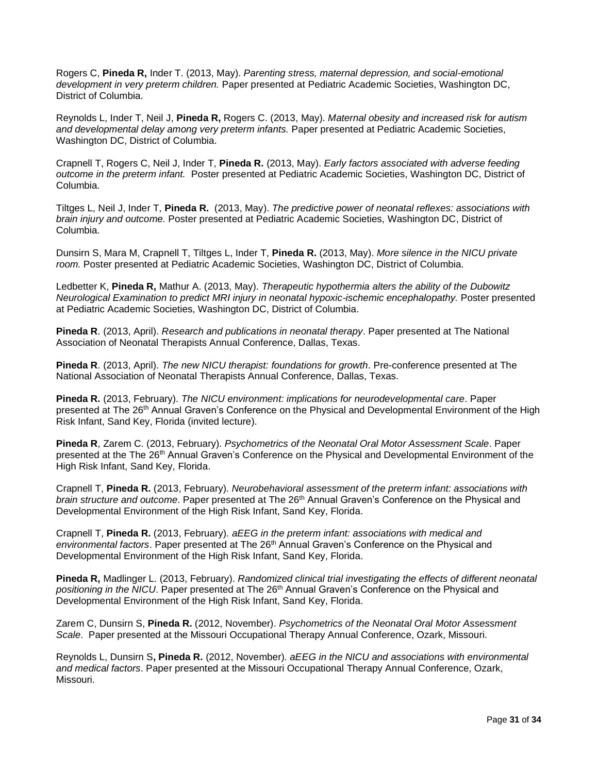Rogers C, **Pineda R,** Inder T. (2013, May). *Parenting stress, maternal depression, and social-emotional development in very preterm children.* Paper presented at Pediatric Academic Societies, Washington DC, District of Columbia.

Reynolds L, Inder T, Neil J, **Pineda R,** Rogers C. (2013, May). *Maternal obesity and increased risk for autism and developmental delay among very preterm infants.* Paper presented at Pediatric Academic Societies, Washington DC, District of Columbia.

Crapnell T, Rogers C, Neil J, Inder T, **Pineda R.** (2013, May). *Early factors associated with adverse feeding outcome in the preterm infant.* Poster presented at Pediatric Academic Societies, Washington DC, District of Columbia.

Tiltges L, Neil J, Inder T, **Pineda R.** (2013, May). *The predictive power of neonatal reflexes: associations with brain injury and outcome.* Poster presented at Pediatric Academic Societies, Washington DC, District of Columbia.

Dunsirn S, Mara M, Crapnell T, Tiltges L, Inder T, **Pineda R.** (2013, May). *More silence in the NICU private room.* Poster presented at Pediatric Academic Societies, Washington DC, District of Columbia.

Ledbetter K, **Pineda R,** Mathur A. (2013, May). *Therapeutic hypothermia alters the ability of the Dubowitz Neurological Examination to predict MRI injury in neonatal hypoxic-ischemic encephalopathy.* Poster presented at Pediatric Academic Societies, Washington DC, District of Columbia.

**Pineda R**. (2013, April). *Research and publications in neonatal therapy*. Paper presented at The National Association of Neonatal Therapists Annual Conference, Dallas, Texas.

**Pineda R**. (2013, April). *The new NICU therapist: foundations for growth*. Pre-conference presented at The National Association of Neonatal Therapists Annual Conference, Dallas, Texas.

**Pineda R.** (2013, February). *The NICU environment: implications for neurodevelopmental care*. Paper presented at The 26th Annual Graven's Conference on the Physical and Developmental Environment of the High Risk Infant, Sand Key, Florida (invited lecture).

**Pineda R**, Zarem C. (2013, February). *Psychometrics of the Neonatal Oral Motor Assessment Scale*. Paper presented at the The 26<sup>th</sup> Annual Graven's Conference on the Physical and Developmental Environment of the High Risk Infant, Sand Key, Florida.

Crapnell T, **Pineda R.** (2013, February). *Neurobehavioral assessment of the preterm infant: associations with brain structure and outcome*. Paper presented at The 26<sup>th</sup> Annual Graven's Conference on the Physical and Developmental Environment of the High Risk Infant, Sand Key, Florida.

Crapnell T, **Pineda R.** (2013, February). *aEEG in the preterm infant: associations with medical and environmental factors*. Paper presented at The 26<sup>th</sup> Annual Graven's Conference on the Physical and Developmental Environment of the High Risk Infant, Sand Key, Florida.

**Pineda R,** Madlinger L. (2013, February). *Randomized clinical trial investigating the effects of different neonatal*  positioning in the NICU. Paper presented at The 26<sup>th</sup> Annual Graven's Conference on the Physical and Developmental Environment of the High Risk Infant, Sand Key, Florida.

Zarem C, Dunsirn S, **Pineda R.** (2012, November). *Psychometrics of the Neonatal Oral Motor Assessment Scale*. Paper presented at the Missouri Occupational Therapy Annual Conference, Ozark, Missouri.

Reynolds L, Dunsirn S**, Pineda R.** (2012, November). *aEEG in the NICU and associations with environmental and medical factors*. Paper presented at the Missouri Occupational Therapy Annual Conference, Ozark, Missouri.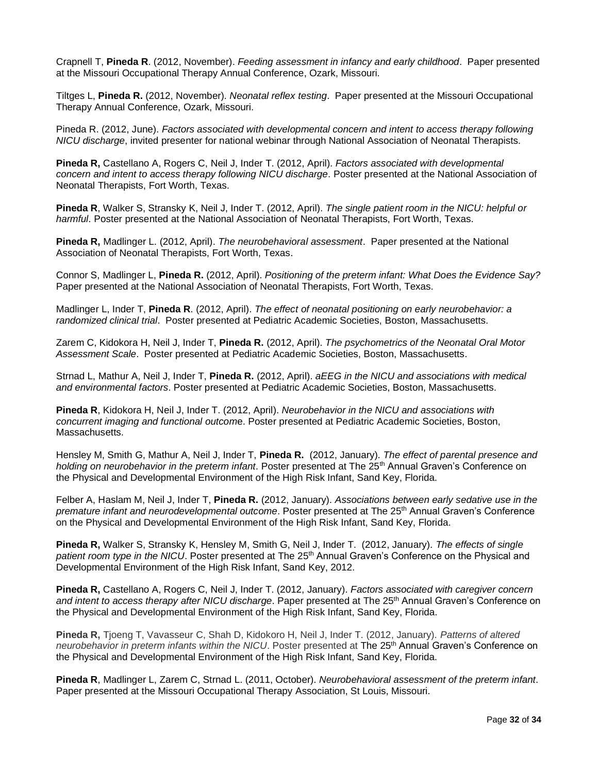Crapnell T, **Pineda R**. (2012, November). *Feeding assessment in infancy and early childhood*. Paper presented at the Missouri Occupational Therapy Annual Conference, Ozark, Missouri.

Tiltges L, **Pineda R.** (2012, November). *Neonatal reflex testing*. Paper presented at the Missouri Occupational Therapy Annual Conference, Ozark, Missouri.

Pineda R. (2012, June). *Factors associated with developmental concern and intent to access therapy following NICU discharge*, invited presenter for national webinar through National Association of Neonatal Therapists.

**Pineda R,** Castellano A, Rogers C, Neil J, Inder T. (2012, April). *Factors associated with developmental concern and intent to access therapy following NICU discharge*. Poster presented at the National Association of Neonatal Therapists, Fort Worth, Texas.

**Pineda R**, Walker S, Stransky K, Neil J, Inder T. (2012, April). *The single patient room in the NICU: helpful or harmful*. Poster presented at the National Association of Neonatal Therapists, Fort Worth, Texas.

**Pineda R,** Madlinger L. (2012, April). *The neurobehavioral assessment*. Paper presented at the National Association of Neonatal Therapists, Fort Worth, Texas.

Connor S, Madlinger L, **Pineda R.** (2012, April). *Positioning of the preterm infant: What Does the Evidence Say?*  Paper presented at the National Association of Neonatal Therapists, Fort Worth, Texas.

Madlinger L, Inder T, **Pineda R**. (2012, April). *The effect of neonatal positioning on early neurobehavior: a randomized clinical trial*. Poster presented at Pediatric Academic Societies, Boston, Massachusetts.

Zarem C, Kidokora H, Neil J, Inder T, **Pineda R.** (2012, April). *The psychometrics of the Neonatal Oral Motor Assessment Scale*. Poster presented at Pediatric Academic Societies, Boston, Massachusetts.

Strnad L, Mathur A, Neil J, Inder T, **Pineda R.** (2012, April). *aEEG in the NICU and associations with medical and environmental factors*. Poster presented at Pediatric Academic Societies, Boston, Massachusetts.

**Pineda R**, Kidokora H, Neil J, Inder T. (2012, April). *Neurobehavior in the NICU and associations with concurrent imaging and functional outcom*e. Poster presented at Pediatric Academic Societies, Boston, Massachusetts.

Hensley M, Smith G, Mathur A, Neil J, Inder T, **Pineda R.** (2012, January). *The effect of parental presence and holding on neurobehavior in the preterm infant*. Poster presented at The 25<sup>th</sup> Annual Graven's Conference on the Physical and Developmental Environment of the High Risk Infant, Sand Key, Florida.

Felber A, Haslam M, Neil J, Inder T, **Pineda R.** (2012, January). *Associations between early sedative use in the premature infant and neurodevelopmental outcome.* Poster presented at The 25<sup>th</sup> Annual Graven's Conference on the Physical and Developmental Environment of the High Risk Infant, Sand Key, Florida.

**Pineda R,** Walker S, Stransky K, Hensley M, Smith G, Neil J, Inder T. (2012, January). *The effects of single patient room type in the NICU*. Poster presented at The 25<sup>th</sup> Annual Graven's Conference on the Physical and Developmental Environment of the High Risk Infant, Sand Key, 2012.

**Pineda R,** Castellano A, Rogers C, Neil J, Inder T. (2012, January). *Factors associated with caregiver concern*  and intent to access therapy after NICU discharge. Paper presented at The 25<sup>th</sup> Annual Graven's Conference on the Physical and Developmental Environment of the High Risk Infant, Sand Key, Florida.

**Pineda R,** Tjoeng T, Vavasseur C, Shah D, Kidokoro H, Neil J, Inder T. (2012, January). *Patterns of altered neurobehavior in preterm infants within the NICU*. Poster presented at The 25<sup>th</sup> Annual Graven's Conference on the Physical and Developmental Environment of the High Risk Infant, Sand Key, Florida.

**Pineda R**, Madlinger L, Zarem C, Strnad L. (2011, October). *Neurobehavioral assessment of the preterm infant*. Paper presented at the Missouri Occupational Therapy Association, St Louis, Missouri.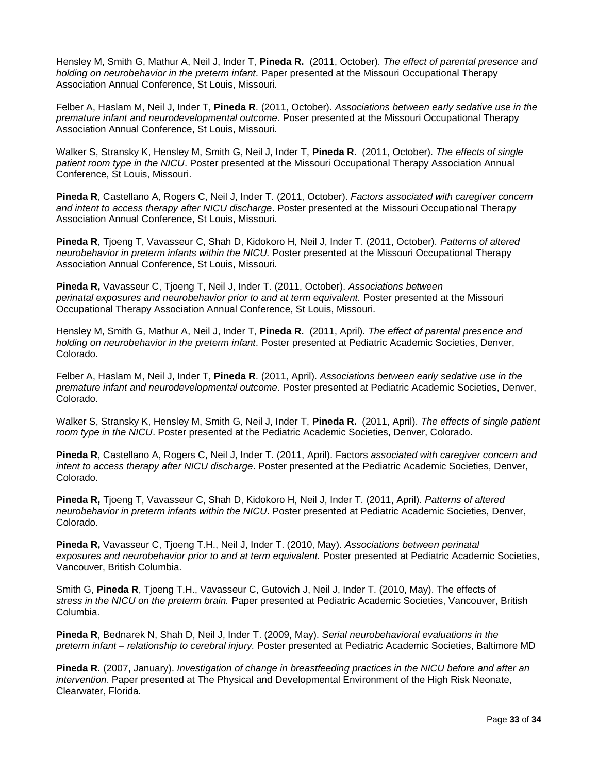Hensley M, Smith G, Mathur A, Neil J, Inder T, **Pineda R.** (2011, October). *The effect of parental presence and holding on neurobehavior in the preterm infant*. Paper presented at the Missouri Occupational Therapy Association Annual Conference, St Louis, Missouri.

Felber A, Haslam M, Neil J, Inder T, **Pineda R**. (2011, October). *Associations between early sedative use in the premature infant and neurodevelopmental outcome*. Poser presented at the Missouri Occupational Therapy Association Annual Conference, St Louis, Missouri.

Walker S, Stransky K, Hensley M, Smith G, Neil J, Inder T, **Pineda R.** (2011, October). *The effects of single patient room type in the NICU*. Poster presented at the Missouri Occupational Therapy Association Annual Conference, St Louis, Missouri.

**Pineda R**, Castellano A, Rogers C, Neil J, Inder T*.* (2011, October). *Factors associated with caregiver concern and intent to access therapy after NICU discharge*. Poster presented at the Missouri Occupational Therapy Association Annual Conference, St Louis, Missouri.

**Pineda R**, Tjoeng T, Vavasseur C, Shah D, Kidokoro H, Neil J, Inder T. (2011, October). *Patterns of altered neurobehavior in preterm infants within the NICU.* Poster presented at the Missouri Occupational Therapy Association Annual Conference, St Louis, Missouri.

**Pineda R,** Vavasseur C, Tjoeng T, Neil J, Inder T. (2011, October). *Associations between perinatal exposures and neurobehavior prior to and at term equivalent.* Poster presented at the Missouri Occupational Therapy Association Annual Conference, St Louis, Missouri.

Hensley M, Smith G, Mathur A, Neil J, Inder T, **Pineda R.** (2011, April). *The effect of parental presence and holding on neurobehavior in the preterm infant*. Poster presented at Pediatric Academic Societies, Denver, Colorado.

Felber A, Haslam M, Neil J, Inder T, **Pineda R**. (2011, April). *Associations between early sedative use in the premature infant and neurodevelopmental outcome*. Poster presented at Pediatric Academic Societies, Denver, Colorado.

Walker S, Stransky K, Hensley M, Smith G, Neil J, Inder T, **Pineda R.** (2011, April). *The effects of single patient room type in the NICU*. Poster presented at the Pediatric Academic Societies, Denver, Colorado.

**Pineda R**, Castellano A, Rogers C, Neil J, Inder T. (2011, April). Factors *associated with caregiver concern and intent to access therapy after NICU discharge*. Poster presented at the Pediatric Academic Societies, Denver, Colorado.

**Pineda R,** Tjoeng T, Vavasseur C, Shah D, Kidokoro H, Neil J, Inder T. (2011, April). *Patterns of altered neurobehavior in preterm infants within the NICU*. Poster presented at Pediatric Academic Societies, Denver, Colorado.

**Pineda R,** Vavasseur C, Tjoeng T.H., Neil J, Inder T. (2010, May). *Associations between perinatal exposures and neurobehavior prior to and at term equivalent.* Poster presented at Pediatric Academic Societies, Vancouver, British Columbia.

Smith G, **Pineda R**, Tjoeng T.H., Vavasseur C, Gutovich J, Neil J, Inder T. (2010, May). The effects of  *stress in the NICU on the preterm brain.* Paper presented at Pediatric Academic Societies, Vancouver, British Columbia.

**Pineda R**, Bednarek N, Shah D, Neil J, Inder T. (2009, May). *Serial neurobehavioral evaluations in the preterm infant – relationship to cerebral injury.* Poster presented at Pediatric Academic Societies, Baltimore MD

**Pineda R**. (2007, January). *Investigation of change in breastfeeding practices in the NICU before and after an intervention*. Paper presented at The Physical and Developmental Environment of the High Risk Neonate, Clearwater, Florida.